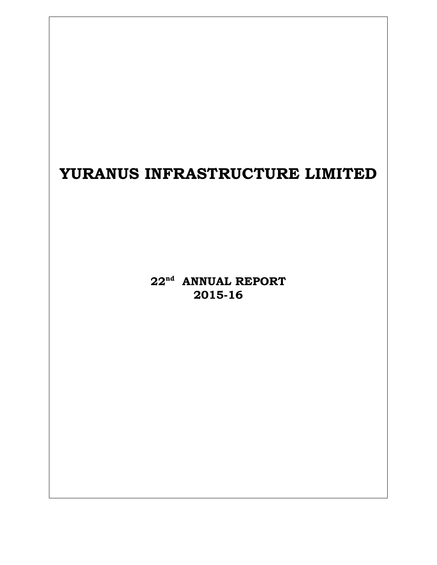# **YURANUS INFRASTRUCTURE LIMITED**

**22nd ANNUAL REPORT 2015-16**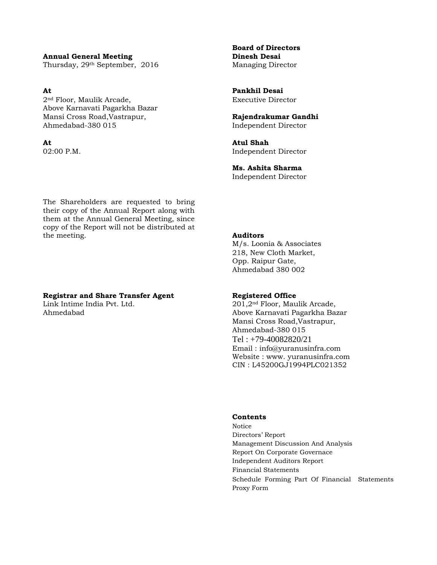**Annual General Meeting Dinesh Desai**  Thursday, 29<sup>th</sup> September, 2016 Managing Director

**At Pankhil Desai**  2nd Floor, Maulik Arcade, Executive Director Above Karnavati Pagarkha Bazar Mansi Cross Road,Vastrapur, **Rajendrakumar Gandhi**  Ahmedabad-380 015 Independent Director

**Board of Directors** 

**At Atul Shah**  02:00 P.M. Independent Director

> **Ms. Ashita Sharma**  Independent Director

The Shareholders are requested to bring their copy of the Annual Report along with them at the Annual General Meeting, since copy of the Report will not be distributed at the meeting. **Auditors** 

#### **Registrar and Share Transfer Agent 6 Registered Office**

 M/s. Loonia & Associates 218, New Cloth Market, Opp. Raipur Gate, Ahmedabad 380 002

Link Intime India Pvt. Ltd. 201,2<sup>nd</sup> Floor, Maulik Arcade, Ahmedabad Above Karnavati Pagarkha Bazar Mansi Cross Road,Vastrapur, Ahmedabad-380 015 Tel : +79-40082820/21 Email : info@yuranusinfra.com Website : www. yuranusinfra.com CIN : L45200GJ1994PLC021352

#### **Contents**

Notice Directors' Report Management Discussion And Analysis Report On Corporate Governace Independent Auditors Report Financial Statements Schedule Forming Part Of Financial Statements Proxy Form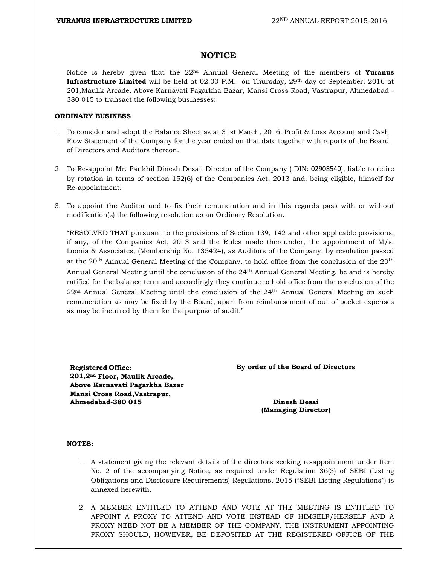#### **NOTICE**

Notice is hereby given that the 22nd Annual General Meeting of the members of **Yuranus Infrastructure Limited** will be held at 02.00 P.M. on Thursday, 29<sup>th</sup> day of September, 2016 at 201,Maulik Arcade, Above Karnavati Pagarkha Bazar, Mansi Cross Road, Vastrapur, Ahmedabad - 380 015 to transact the following businesses:

#### **ORDINARY BUSINESS**

- 1. To consider and adopt the Balance Sheet as at 31st March, 2016, Profit & Loss Account and Cash Flow Statement of the Company for the year ended on that date together with reports of the Board of Directors and Auditors thereon.
- 2. To Re-appoint Mr. Pankhil Dinesh Desai, Director of the Company ( DIN: 02908540), liable to retire by rotation in terms of section 152(6) of the Companies Act, 2013 and, being eligible, himself for Re-appointment.
- 3. To appoint the Auditor and to fix their remuneration and in this regards pass with or without modification(s) the following resolution as an Ordinary Resolution.

"RESOLVED THAT pursuant to the provisions of Section 139, 142 and other applicable provisions, if any, of the Companies Act,  $2013$  and the Rules made thereunder, the appointment of  $M/s$ . Loonia & Associates, (Membership No. 135424), as Auditors of the Company, by resolution passed at the 20th Annual General Meeting of the Company, to hold office from the conclusion of the 20th Annual General Meeting until the conclusion of the 24<sup>th</sup> Annual General Meeting, be and is hereby ratified for the balance term and accordingly they continue to hold office from the conclusion of the 22<sup>nd</sup> Annual General Meeting until the conclusion of the 24<sup>th</sup> Annual General Meeting on such remuneration as may be fixed by the Board, apart from reimbursement of out of pocket expenses as may be incurred by them for the purpose of audit."

**Registered Office: By order of the Board of Directors 201,2nd Floor, Maulik Arcade, Above Karnavati Pagarkha Bazar Mansi Cross Road,Vastrapur, Ahmedabad-380 015 Dinesh Desai** 

 **(Managing Director)** 

#### **NOTES:**

- 1. A statement giving the relevant details of the directors seeking re-appointment under Item No. 2 of the accompanying Notice, as required under Regulation 36(3) of SEBI (Listing Obligations and Disclosure Requirements) Regulations, 2015 ("SEBI Listing Regulations") is annexed herewith.
- 2. A MEMBER ENTITLED TO ATTEND AND VOTE AT THE MEETING IS ENTITLED TO APPOINT A PROXY TO ATTEND AND VOTE INSTEAD OF HIMSELF/HERSELF AND A PROXY NEED NOT BE A MEMBER OF THE COMPANY. THE INSTRUMENT APPOINTING PROXY SHOULD, HOWEVER, BE DEPOSITED AT THE REGISTERED OFFICE OF THE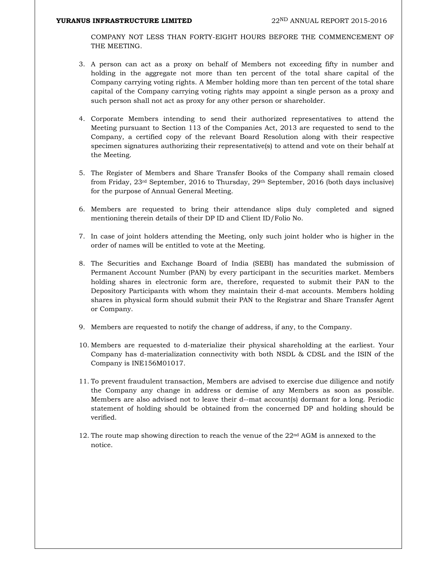COMPANY NOT LESS THAN FORTY-EIGHT HOURS BEFORE THE COMMENCEMENT OF THE MEETING.

- 3. A person can act as a proxy on behalf of Members not exceeding fifty in number and holding in the aggregate not more than ten percent of the total share capital of the Company carrying voting rights. A Member holding more than ten percent of the total share capital of the Company carrying voting rights may appoint a single person as a proxy and such person shall not act as proxy for any other person or shareholder.
- 4. Corporate Members intending to send their authorized representatives to attend the Meeting pursuant to Section 113 of the Companies Act, 2013 are requested to send to the Company, a certified copy of the relevant Board Resolution along with their respective specimen signatures authorizing their representative(s) to attend and vote on their behalf at the Meeting.
- 5. The Register of Members and Share Transfer Books of the Company shall remain closed from Friday, 23rd September, 2016 to Thursday, 29th September, 2016 (both days inclusive) for the purpose of Annual General Meeting.
- 6. Members are requested to bring their attendance slips duly completed and signed mentioning therein details of their DP ID and Client ID/Folio No.
- 7. In case of joint holders attending the Meeting, only such joint holder who is higher in the order of names will be entitled to vote at the Meeting.
- 8. The Securities and Exchange Board of India (SEBI) has mandated the submission of Permanent Account Number (PAN) by every participant in the securities market. Members holding shares in electronic form are, therefore, requested to submit their PAN to the Depository Participants with whom they maintain their d-mat accounts. Members holding shares in physical form should submit their PAN to the Registrar and Share Transfer Agent or Company.
- 9. Members are requested to notify the change of address, if any, to the Company.
- 10. Members are requested to d-materialize their physical shareholding at the earliest. Your Company has d-materialization connectivity with both NSDL & CDSL and the ISIN of the Company is INE156M01017.
- 11. To prevent fraudulent transaction, Members are advised to exercise due diligence and notify the Company any change in address or demise of any Members as soon as possible. Members are also advised not to leave their d--mat account(s) dormant for a long. Periodic statement of holding should be obtained from the concerned DP and holding should be verified.
- 12. The route map showing direction to reach the venue of the  $22<sup>nd</sup> AGM$  is annexed to the notice.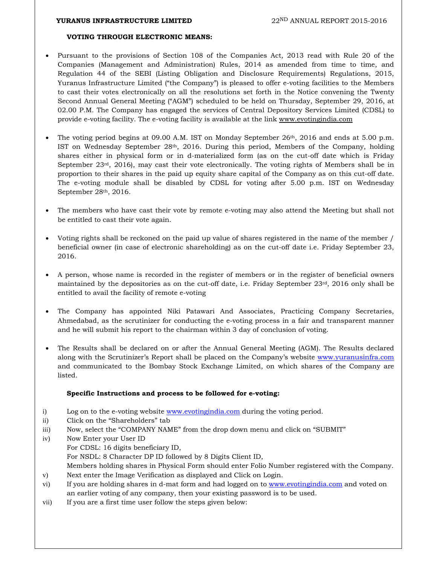#### **VOTING THROUGH ELECTRONIC MEANS:**

- Pursuant to the provisions of Section 108 of the Companies Act, 2013 read with Rule 20 of the Companies (Management and Administration) Rules, 2014 as amended from time to time, and Regulation 44 of the SEBI (Listing Obligation and Disclosure Requirements) Regulations, 2015, Yuranus Infrastructure Limited ("the Company") is pleased to offer e-voting facilities to the Members to cast their votes electronically on all the resolutions set forth in the Notice convening the Twenty Second Annual General Meeting ("AGM") scheduled to be held on Thursday, September 29, 2016, at 02.00 P.M. The Company has engaged the services of Central Depository Services Limited (CDSL) to provide e-voting facility. The e-voting facility is available at the link www.evotingindia.com
- The voting period begins at 09.00 A.M. IST on Monday September 26th, 2016 and ends at 5.00 p.m. IST on Wednesday September 28th, 2016. During this period, Members of the Company, holding shares either in physical form or in d-materialized form (as on the cut-off date which is Friday September 23<sup>rd</sup>, 2016), may cast their vote electronically. The voting rights of Members shall be in proportion to their shares in the paid up equity share capital of the Company as on this cut-off date. The e-voting module shall be disabled by CDSL for voting after 5.00 p.m. IST on Wednesday September 28th, 2016.
- The members who have cast their vote by remote e-voting may also attend the Meeting but shall not be entitled to cast their vote again.
- Voting rights shall be reckoned on the paid up value of shares registered in the name of the member / beneficial owner (in case of electronic shareholding) as on the cut-off date i.e. Friday September 23, 2016.
- A person, whose name is recorded in the register of members or in the register of beneficial owners maintained by the depositories as on the cut-off date, i.e. Friday September 23rd, 2016 only shall be entitled to avail the facility of remote e-voting
- The Company has appointed Niki Patawari And Associates, Practicing Company Secretaries, Ahmedabad, as the scrutinizer for conducting the e-voting process in a fair and transparent manner and he will submit his report to the chairman within 3 day of conclusion of voting.
- The Results shall be declared on or after the Annual General Meeting (AGM). The Results declared along with the Scrutinizer's Report shall be placed on the Company's website www.yuranusinfra.com and communicated to the Bombay Stock Exchange Limited, on which shares of the Company are listed.

#### **Specific Instructions and process to be followed for e-voting:**

- i) Log on to the e-voting website www.evotingindia.com during the voting period.
- ii) Click on the "Shareholders" tab
- iii) Now, select the "COMPANY NAME" from the drop down menu and click on "SUBMIT"
- iv) Now Enter your User ID For CDSL: 16 digits beneficiary ID, For NSDL: 8 Character DP ID followed by 8 Digits Client ID, Members holding shares in Physical Form should enter Folio Number registered with the Company. v) Next enter the Image Verification as displayed and Click on Login. vi) If you are holding shares in d-mat form and had logged on to www.evotingindia.com and voted on
- an earlier voting of any company, then your existing password is to be used.
- vii) If you are a first time user follow the steps given below: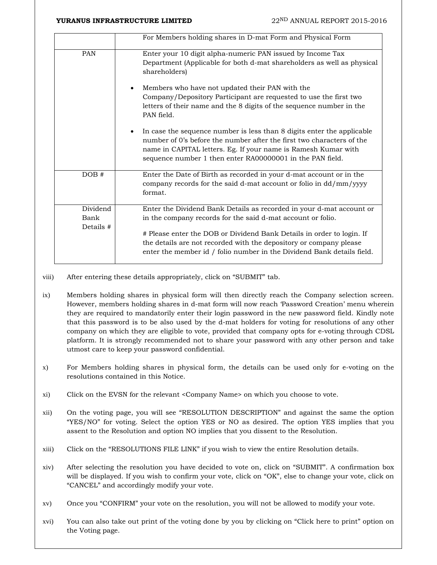|                               | For Members holding shares in D-mat Form and Physical Form                                                                                                                                                                                                                     |
|-------------------------------|--------------------------------------------------------------------------------------------------------------------------------------------------------------------------------------------------------------------------------------------------------------------------------|
| <b>PAN</b>                    | Enter your 10 digit alpha-numeric PAN issued by Income Tax<br>Department (Applicable for both d-mat shareholders as well as physical<br>shareholders)                                                                                                                          |
|                               | Members who have not updated their PAN with the<br>Company/Depository Participant are requested to use the first two<br>letters of their name and the 8 digits of the sequence number in the<br>PAN field.                                                                     |
|                               | In case the sequence number is less than 8 digits enter the applicable<br>number of 0's before the number after the first two characters of the<br>name in CAPITAL letters. Eg. If your name is Ramesh Kumar with<br>sequence number 1 then enter RA00000001 in the PAN field. |
| DOB#                          | Enter the Date of Birth as recorded in your d-mat account or in the<br>company records for the said d-mat account or folio in dd/mm/yyyy<br>format.                                                                                                                            |
| Dividend<br>Bank<br>Details # | Enter the Dividend Bank Details as recorded in your d-mat account or<br>in the company records for the said d-mat account or folio.                                                                                                                                            |
|                               | # Please enter the DOB or Dividend Bank Details in order to login. If<br>the details are not recorded with the depository or company please<br>enter the member id / folio number in the Dividend Bank details field.                                                          |

- viii) After entering these details appropriately, click on "SUBMIT" tab.
- ix) Members holding shares in physical form will then directly reach the Company selection screen. However, members holding shares in d-mat form will now reach 'Password Creation' menu wherein they are required to mandatorily enter their login password in the new password field. Kindly note that this password is to be also used by the d-mat holders for voting for resolutions of any other company on which they are eligible to vote, provided that company opts for e-voting through CDSL platform. It is strongly recommended not to share your password with any other person and take utmost care to keep your password confidential.
- x) For Members holding shares in physical form, the details can be used only for e-voting on the resolutions contained in this Notice.
- xi) Click on the EVSN for the relevant <Company Name> on which you choose to vote.
- xii) On the voting page, you will see "RESOLUTION DESCRIPTION" and against the same the option "YES/NO" for voting. Select the option YES or NO as desired. The option YES implies that you assent to the Resolution and option NO implies that you dissent to the Resolution.
- xiii) Click on the "RESOLUTIONS FILE LINK" if you wish to view the entire Resolution details.
- xiv) After selecting the resolution you have decided to vote on, click on "SUBMIT". A confirmation box will be displayed. If you wish to confirm your vote, click on "OK", else to change your vote, click on "CANCEL" and accordingly modify your vote.
- xv) Once you "CONFIRM" your vote on the resolution, you will not be allowed to modify your vote.
- xvi) You can also take out print of the voting done by you by clicking on "Click here to print" option on the Voting page.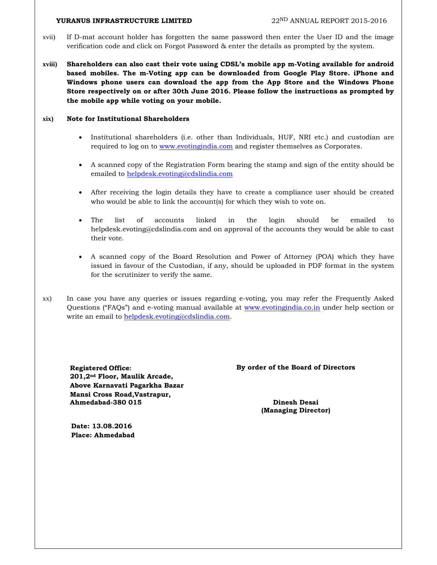- xvii) If D-mat account holder has forgotten the same password then enter the User ID and the image verification code and click on Forgot Password & enter the details as prompted by the system.
- **xviii) Shareholders can also cast their vote using CDSL's mobile app m-Voting available for android based mobiles. The m-Voting app can be downloaded from Google Play Store. iPhone and Windows phone users can download the app from the App Store and the Windows Phone Store respectively on or after 30th June 2016. Please follow the instructions as prompted by the mobile app while voting on your mobile.**

#### **xix) Note for Institutional Shareholders**

- Institutional shareholders (i.e. other than Individuals, HUF, NRI etc.) and custodian are required to log on to www.evotingindia.com and register themselves as Corporates.
- A scanned copy of the Registration Form bearing the stamp and sign of the entity should be emailed to helpdesk.evoting@cdslindia.com
- After receiving the login details they have to create a compliance user should be created who would be able to link the account(s) for which they wish to vote on.
- The list of accounts linked in the login should be emailed to helpdesk.evoting@cdslindia.com and on approval of the accounts they would be able to cast their vote.
- A scanned copy of the Board Resolution and Power of Attorney (POA) which they have issued in favour of the Custodian, if any, should be uploaded in PDF format in the system for the scrutinizer to verify the same.
- xx) In case you have any queries or issues regarding e-voting, you may refer the Frequently Asked Questions ("FAQs") and e-voting manual available at www.evotingindia.co.in under help section or write an email to helpdesk.evoting@cdslindia.com.

**201,2nd Floor, Maulik Arcade, Above Karnavati Pagarkha Bazar Mansi Cross Road,Vastrapur, Ahmedabad-380 015 Dinesh Desai** 

**Registered Office: By order of the Board of Directors** 

 **(Managing Director)** 

 **Date: 13.08.2016 Place: Ahmedabad**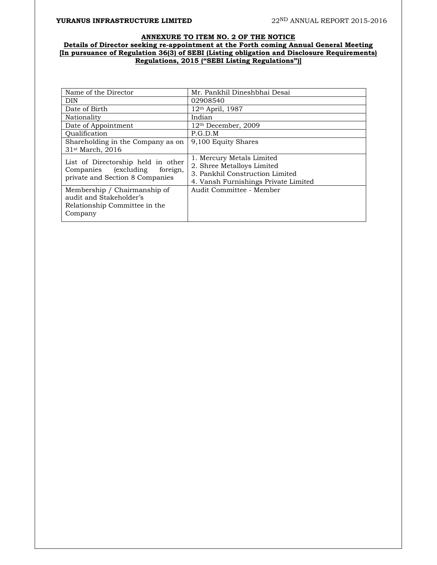#### **ANNEXURE TO ITEM NO. 2 OF THE NOTICE Details of Director seeking re-appointment at the Forth coming Annual General Meeting [In pursuance of Regulation 36(3) of SEBI (Listing obligation and Disclosure Requirements) Regulations, 2015 ("SEBI Listing Regulations")]**

| Name of the Director                                                                                      | Mr. Pankhil Dineshbhai Desai                                                                                                       |
|-----------------------------------------------------------------------------------------------------------|------------------------------------------------------------------------------------------------------------------------------------|
| DIN                                                                                                       | 02908540                                                                                                                           |
| Date of Birth                                                                                             | $12th$ April, 1987                                                                                                                 |
| Nationality                                                                                               | Indian                                                                                                                             |
| Date of Appointment                                                                                       | $12th$ December, 2009                                                                                                              |
| Oualification                                                                                             | P.G.D.M                                                                                                                            |
| Shareholding in the Company as on<br>31 <sup>st</sup> March, 2016                                         | 9,100 Equity Shares                                                                                                                |
| List of Directorship held in other<br>Companies (excluding<br>foreign,<br>private and Section 8 Companies | 1. Mercury Metals Limited<br>2. Shree Metalloys Limited<br>3. Pankhil Construction Limited<br>4. Vansh Furnishings Private Limited |
| Membership / Chairmanship of<br>audit and Stakeholder's<br>Relationship Committee in the<br>Company       | Audit Committee - Member                                                                                                           |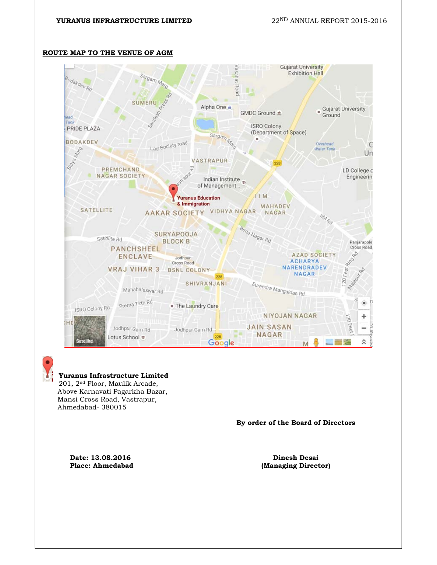

#### **ROUTE MAP TO THE VENUE OF AGM**



#### **Yuranus Infrastructure Limited**

201, 2nd Floor, Maulik Arcade, Above Karnavati Pagarkha Bazar, Mansi Cross Road, Vastrapur, Ahmedabad- 380015

**By order of the Board of Directors** 

**Date: 13.08.2016 Dinesh Desai** 

Place: Ahmedabad **(Managing Director)**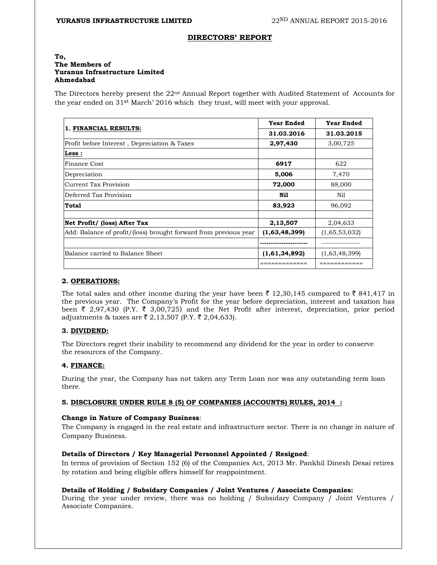#### **DIRECTORS' REPORT**

#### **To, The Members of Yuranus Infrastructure Limited Ahmedabad**

The Directors hereby present the 22nd Annual Report together with Audited Statement of Accounts for the year ended on 31st March' 2016 which they trust, will meet with your approval.

|                                                                  | <b>Year Ended</b> | <b>Year Ended</b> |
|------------------------------------------------------------------|-------------------|-------------------|
| 1. FINANCIAL RESULTS:                                            | 31.03.2016        | 31.03.2015        |
| Profit before Interest, Depreciation & Taxes                     | 2,97,430          | 3,00,725          |
| Less :                                                           |                   |                   |
| <b>Finance Cost</b>                                              | 6917              | 622               |
| Depreciation                                                     | 5,006             | 7,470             |
| Current Tax Provision                                            | 72,000            | 88,000            |
| Deferred Tax Provision                                           | Nil               | Nil               |
| Total                                                            | 83,923            | 96,092            |
|                                                                  |                   |                   |
| Net Profit/ (loss) After Tax                                     | 2,13,507          | 2,04,633          |
| Add: Balance of profit/(loss) brought forward from previous year | (1,63,48,399)     | (1,65,53,032)     |
|                                                                  |                   |                   |
| Balance carried to Balance Sheet                                 | (1,61,34,892)     | (1,63,48,399)     |
|                                                                  |                   |                   |

#### **2. OPERATIONS:**

The total sales and other income during the year have been  $\bar{\tau}$  12,30,145 compared to  $\bar{\tau}$  841,417 in the previous year. The Company's Profit for the year before depreciation, interest and taxation has been  $\bar{\tau}$  2,97,430 (P.Y.  $\bar{\tau}$  3,00,725) and the Net Profit after interest, depreciation, prior period adjustments & taxes are  $\bar{\tau}$  2,13,507 (P.Y.  $\bar{\tau}$  2,04,633).

#### **3. DIVIDEND:**

The Directors regret their inability to recommend any dividend for the year in order to conserve the resources of the Company.

#### **4. FINANCE:**

During the year, the Company has not taken any Term Loan nor was any outstanding term loan there.

#### **5. DISCLOSURE UNDER RULE 8 (5) OF COMPANIES (ACCOUNTS) RULES, 2014 :**

#### **Change in Nature of Company Business**:

The Company is engaged in the real estate and infrastructure sector. There is no change in nature of Company Business.

#### **Details of Directors / Key Managerial Personnel Appointed / Resigned**:

In terms of provision of Section 152 (6) of the Companies Act, 2013 Mr. Pankhil Dinesh Desai retires by rotation and being eligible offers himself for reappointment.

#### **Details of Holding / Subsidary Companies / Joint Ventures / Associate Companies:**

During the year under review, there was no holding / Subsidary Company / Joint Ventures / Associate Companies.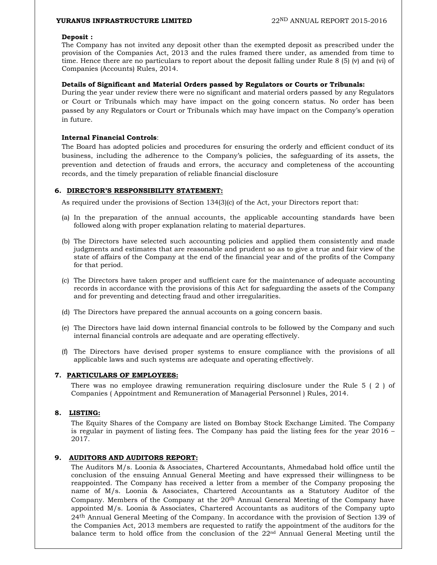#### **Deposit :**

The Company has not invited any deposit other than the exempted deposit as prescribed under the provision of the Companies Act, 2013 and the rules framed there under, as amended from time to time. Hence there are no particulars to report about the deposit falling under Rule 8 (5) (v) and (vi) of Companies (Accounts) Rules, 2014.

#### **Details of Significant and Material Orders passed by Regulators or Courts or Tribunals:**

During the year under review there were no significant and material orders passed by any Regulators or Court or Tribunals which may have impact on the going concern status. No order has been passed by any Regulators or Court or Tribunals which may have impact on the Company's operation in future.

#### **Internal Financial Controls**:

The Board has adopted policies and procedures for ensuring the orderly and efficient conduct of its business, including the adherence to the Company's policies, the safeguarding of its assets, the prevention and detection of frauds and errors, the accuracy and completeness of the accounting records, and the timely preparation of reliable financial disclosure

#### **6. DIRECTOR'S RESPONSIBILITY STATEMENT:**

As required under the provisions of Section 134(3)(c) of the Act, your Directors report that:

- (a) In the preparation of the annual accounts, the applicable accounting standards have been followed along with proper explanation relating to material departures.
- (b) The Directors have selected such accounting policies and applied them consistently and made judgments and estimates that are reasonable and prudent so as to give a true and fair view of the state of affairs of the Company at the end of the financial year and of the profits of the Company for that period.
- (c) The Directors have taken proper and sufficient care for the maintenance of adequate accounting records in accordance with the provisions of this Act for safeguarding the assets of the Company and for preventing and detecting fraud and other irregularities.
- (d) The Directors have prepared the annual accounts on a going concern basis.
- (e) The Directors have laid down internal financial controls to be followed by the Company and such internal financial controls are adequate and are operating effectively.
- (f) The Directors have devised proper systems to ensure compliance with the provisions of all applicable laws and such systems are adequate and operating effectively.

#### **7. PARTICULARS OF EMPLOYEES:**

There was no employee drawing remuneration requiring disclosure under the Rule 5 ( 2 ) of Companies ( Appointment and Remuneration of Managerial Personnel ) Rules, 2014.

#### **8. LISTING:**

The Equity Shares of the Company are listed on Bombay Stock Exchange Limited. The Company is regular in payment of listing fees. The Company has paid the listing fees for the year 2016 – 2017.

#### **9. AUDITORS AND AUDITORS REPORT:**

The Auditors M/s. Loonia & Associates, Chartered Accountants, Ahmedabad hold office until the conclusion of the ensuing Annual General Meeting and have expressed their willingness to be reappointed. The Company has received a letter from a member of the Company proposing the name of M/s. Loonia & Associates, Chartered Accountants as a Statutory Auditor of the Company. Members of the Company at the  $20<sup>th</sup>$  Annual General Meeting of the Company have appointed M/s. Loonia & Associates, Chartered Accountants as auditors of the Company upto 24<sup>th</sup> Annual General Meeting of the Company. In accordance with the provision of Section 139 of the Companies Act, 2013 members are requested to ratify the appointment of the auditors for the balance term to hold office from the conclusion of the 22nd Annual General Meeting until the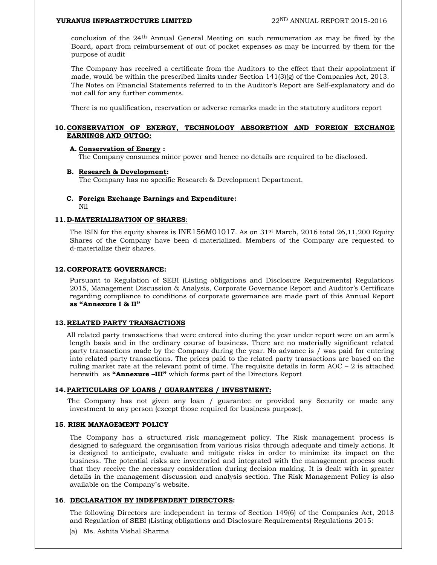conclusion of the 24th Annual General Meeting on such remuneration as may be fixed by the Board, apart from reimbursement of out of pocket expenses as may be incurred by them for the purpose of audit

The Company has received a certificate from the Auditors to the effect that their appointment if made, would be within the prescribed limits under Section  $141(3)(g)$  of the Companies Act, 2013. The Notes on Financial Statements referred to in the Auditor's Report are Self-explanatory and do not call for any further comments.

There is no qualification, reservation or adverse remarks made in the statutory auditors report

#### **10.CONSERVATION OF ENERGY, TECHNOLOGY ABSORBTION AND FOREIGN EXCHANGE EARNINGS AND OUTGO:**

#### **A. Conservation of Energy :**

The Company consumes minor power and hence no details are required to be disclosed.

#### **B. Research & Development:**

The Company has no specific Research & Development Department.

#### **C. Foreign Exchange Earnings and Expenditure:**

Nil

#### **11.D-MATERIALISATION OF SHARES**:

The ISIN for the equity shares is INE156M01017. As on  $31<sup>st</sup>$  March, 2016 total 26,11,200 Equity Shares of the Company have been d-materialized. Members of the Company are requested to d-materialize their shares.

#### **12.CORPORATE GOVERNANCE:**

 Pursuant to Regulation of SEBI (Listing obligations and Disclosure Requirements) Regulations 2015, Management Discussion & Analysis, Corporate Governance Report and Auditor's Certificate regarding compliance to conditions of corporate governance are made part of this Annual Report **as "Annexure I & II"**

#### **13.RELATED PARTY TRANSACTIONS**

All related party transactions that were entered into during the year under report were on an arm's length basis and in the ordinary course of business. There are no materially significant related party transactions made by the Company during the year. No advance is / was paid for entering into related party transactions. The prices paid to the related party transactions are based on the ruling market rate at the relevant point of time. The requisite details in form  $AOC - 2$  is attached herewith as **"Annexure –III"** which forms part of the Directors Report

#### **14.PARTICULARS OF LOANS / GUARANTEES / INVESTMENT:**

 The Company has not given any loan / guarantee or provided any Security or made any investment to any person (except those required for business purpose).

#### **15**. **RISK MANAGEMENT POLICY**

 The Company has a structured risk management policy. The Risk management process is designed to safeguard the organisation from various risks through adequate and timely actions. It is designed to anticipate, evaluate and mitigate risks in order to minimize its impact on the business. The potential risks are inventoried and integrated with the management process such that they receive the necessary consideration during decision making. It is dealt with in greater details in the management discussion and analysis section. The Risk Management Policy is also available on the Company`s website.

#### **<sup>16</sup>**. **DECLARATION BY INDEPENDENT DIRECTORS:**

 The following Directors are independent in terms of Section 149(6) of the Companies Act, 2013 and Regulation of SEBI (Listing obligations and Disclosure Requirements) Regulations 2015:

(a) Ms. Ashita Vishal Sharma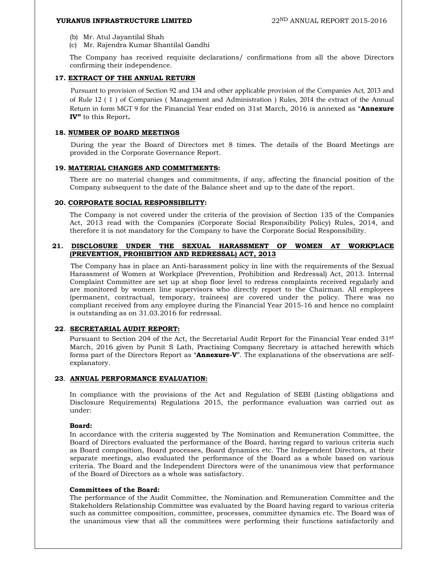- (b) Mr. Atul Jayantilal Shah
- (c) Mr. Rajendra Kumar Shantilal Gandhi

 The Company has received requisite declarations/ confirmations from all the above Directors confirming their independence.

#### **17. EXTRACT OF THE ANNUAL RETURN**

Pursuant to provision of Section 92 and 134 and other applicable provision of the Companies Act, 2013 and of Rule 12 ( 1 ) of Companies ( Management and Administration ) Rules, 2014 the extract of the Annual Return in form MGT 9 for the Financial Year ended on 31st March, 2016 is annexed as "**Annexure IV"** to this Report**.** 

#### **18. NUMBER OF BOARD MEETINGS**

During the year the Board of Directors met 8 times. The details of the Board Meetings are provided in the Corporate Governance Report.

#### **19. MATERIAL CHANGES AND COMMITMENTS:**

There are no material changes and commitments, if any, affecting the financial position of the Company subsequent to the date of the Balance sheet and up to the date of the report.

#### **20. CORPORATE SOCIAL RESPONSIBILITY:**

 The Company is not covered under the criteria of the provision of Section 135 of the Companies Act, 2013 read with the Companies (Corporate Social Responsibility Policy) Rules, 2014, and therefore it is not mandatory for the Company to have the Corporate Social Responsibility.

#### **21. DISCLOSURE UNDER THE SEXUAL HARASSMENT OF WOMEN AT WORKPLACE (PREVENTION, PROHIBITION AND REDRESSAL) ACT, 2013**

The Company has in place an Anti-harassment policy in line with the requirements of the Sexual Harassment of Women at Workplace (Prevention, Prohibition and Redressal) Act, 2013. Internal Complaint Committee are set up at shop floor level to redress complaints received regularly and are monitored by women line supervisors who directly report to the Chairman. All employees (permanent, contractual, temporary, trainees) are covered under the policy. There was no compliant received from any employee during the Financial Year 2015-16 and hence no complaint is outstanding as on 31.03.2016 for redressal.

#### **22**. **SECRETARIAL AUDIT REPORT:**

Pursuant to Section 204 of the Act, the Secretarial Audit Report for the Financial Year ended 31st March, 2016 given by Punit S Lath, Practising Company Secretary is attached herewith which forms part of the Directors Report as "**Annexure-V**". The explanations of the observations are selfexplanatory.

#### **23**. **ANNUAL PERFORMANCE EVALUATION:**

 In compliance with the provisions of the Act and Regulation of SEBI (Listing obligations and Disclosure Requirements) Regulations 2015, the performance evaluation was carried out as under:

#### **Board:**

 In accordance with the criteria suggested by The Nomination and Remuneration Committee, the Board of Directors evaluated the performance of the Board, having regard to various criteria such as Board composition, Board processes, Board dynamics etc. The Independent Directors, at their separate meetings, also evaluated the performance of the Board as a whole based on various criteria. The Board and the Independent Directors were of the unanimous view that performance of the Board of Directors as a whole was satisfactory.

#### **Committees of the Board:**

 The performance of the Audit Committee, the Nomination and Remuneration Committee and the Stakeholders Relationship Committee was evaluated by the Board having regard to various criteria such as committee composition, committee, processes, committee dynamics etc. The Board was of the unanimous view that all the committees were performing their functions satisfactorily and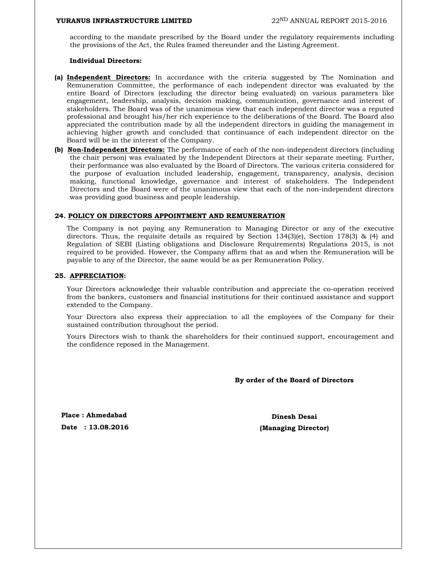according to the mandate prescribed by the Board under the regulatory requirements including the provisions of the Act, the Rules framed thereunder and the Listing Agreement.

#### **Individual Directors:**

- **(a) Independent Directors:** In accordance with the criteria suggested by The Nomination and Remuneration Committee, the performance of each independent director was evaluated by the entire Board of Directors (excluding the director being evaluated) on various parameters like engagement, leadership, analysis, decision making, communication, governance and interest of stakeholders. The Board was of the unanimous view that each independent director was a reputed professional and brought his/her rich experience to the deliberations of the Board. The Board also appreciated the contribution made by all the independent directors in guiding the management in achieving higher growth and concluded that continuance of each independent director on the Board will be in the interest of the Company.
- **(b) Non-Independent Directors:** The performance of each of the non-independent directors (including the chair person) was evaluated by the Independent Directors at their separate meeting. Further, their performance was also evaluated by the Board of Directors. The various criteria considered for the purpose of evaluation included leadership, engagement, transparency, analysis, decision making, functional knowledge, governance and interest of stakeholders. The Independent Directors and the Board were of the unanimous view that each of the non-independent directors was providing good business and people leadership.

#### **24. POLICY ON DIRECTORS APPOINTMENT AND REMUNERATION**

The Company is not paying any Remuneration to Managing Director or any of the executive directors. Thus, the requisite details as required by Section 134(3)(e), Section 178(3) & (4) and Regulation of SEBI (Listing obligations and Disclosure Requirements) Regulations 2015, is not required to be provided. However, the Company affirm that as and when the Remuneration will be payable to any of the Director, the same would be as per Remuneration Policy.

#### **25. APPRECIATION:**

Your Directors acknowledge their valuable contribution and appreciate the co-operation received from the bankers, customers and financial institutions for their continued assistance and support extended to the Company.

Your Directors also express their appreciation to all the employees of the Company for their sustained contribution throughout the period.

Yours Directors wish to thank the shareholders for their continued support, encouragement and the confidence reposed in the Management.

**By order of the Board of Directors** 

**Place : Ahmedabad Dinesh Desai Dinesh Desai** 

**Date : 13.08.2016 (Managing Director)**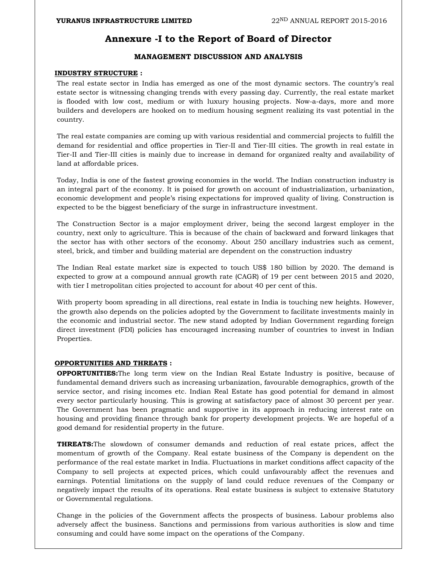### **Annexure -I to the Report of Board of Director**

### **MANAGEMENT DISCUSSION AND ANALYSIS**

#### **INDUSTRY STRUCTURE :**

The real estate sector in India has emerged as one of the most dynamic sectors. The country's real estate sector is witnessing changing trends with every passing day. Currently, the real estate market is flooded with low cost, medium or with luxury housing projects. Now-a-days, more and more builders and developers are hooked on to medium housing segment realizing its vast potential in the country.

The real estate companies are coming up with various residential and commercial projects to fulfill the demand for residential and office properties in Tier-II and Tier-III cities. The growth in real estate in Tier-II and Tier-III cities is mainly due to increase in demand for organized realty and availability of land at affordable prices.

Today, India is one of the fastest growing economies in the world. The Indian construction industry is an integral part of the economy. It is poised for growth on account of industrialization, urbanization, economic development and people's rising expectations for improved quality of living. Construction is expected to be the biggest beneficiary of the surge in infrastructure investment.

The Construction Sector is a major employment driver, being the second largest employer in the country, next only to agriculture. This is because of the chain of backward and forward linkages that the sector has with other sectors of the economy. About 250 ancillary industries such as cement, steel, brick, and timber and building material are dependent on the construction industry

The Indian Real estate market size is expected to touch US\$ 180 billion by 2020. The demand is expected to grow at a compound annual growth rate (CAGR) of 19 per cent between 2015 and 2020, with tier I metropolitan cities projected to account for about 40 per cent of this.

With property boom spreading in all directions, real estate in India is touching new heights. However, the growth also depends on the policies adopted by the Government to facilitate investments mainly in the economic and industrial sector. The new stand adopted by Indian Government regarding foreign direct investment (FDI) policies has encouraged increasing number of countries to invest in Indian Properties.

#### **OPPORTUNITIES AND THREATS :**

**OPPORTUNITIES:**The long term view on the Indian Real Estate Industry is positive, because of fundamental demand drivers such as increasing urbanization, favourable demographics, growth of the service sector, and rising incomes etc. Indian Real Estate has good potential for demand in almost every sector particularly housing. This is growing at satisfactory pace of almost 30 percent per year. The Government has been pragmatic and supportive in its approach in reducing interest rate on housing and providing finance through bank for property development projects. We are hopeful of a good demand for residential property in the future.

**THREATS:**The slowdown of consumer demands and reduction of real estate prices, affect the momentum of growth of the Company. Real estate business of the Company is dependent on the performance of the real estate market in India. Fluctuations in market conditions affect capacity of the Company to sell projects at expected prices, which could unfavourably affect the revenues and earnings. Potential limitations on the supply of land could reduce revenues of the Company or negatively impact the results of its operations. Real estate business is subject to extensive Statutory or Governmental regulations.

Change in the policies of the Government affects the prospects of business. Labour problems also adversely affect the business. Sanctions and permissions from various authorities is slow and time consuming and could have some impact on the operations of the Company.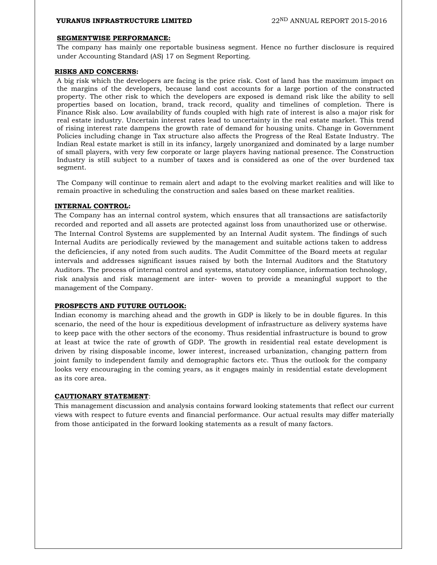#### **SEGMENTWISE PERFORMANCE:**

The company has mainly one reportable business segment. Hence no further disclosure is required under Accounting Standard (AS) 17 on Segment Reporting.

#### **RISKS AND CONCERNS:**

A big risk which the developers are facing is the price risk. Cost of land has the maximum impact on the margins of the developers, because land cost accounts for a large portion of the constructed property. The other risk to which the developers are exposed is demand risk like the ability to sell properties based on location, brand, track record, quality and timelines of completion. There is Finance Risk also. Low availability of funds coupled with high rate of interest is also a major risk for real estate industry. Uncertain interest rates lead to uncertainty in the real estate market. This trend of rising interest rate dampens the growth rate of demand for housing units. Change in Government Policies including change in Tax structure also affects the Progress of the Real Estate Industry. The Indian Real estate market is still in its infancy, largely unorganized and dominated by a large number of small players, with very few corporate or large players having national presence. The Construction Industry is still subject to a number of taxes and is considered as one of the over burdened tax segment.

The Company will continue to remain alert and adapt to the evolving market realities and will like to remain proactive in scheduling the construction and sales based on these market realities.

#### **INTERNAL CONTROL:**

The Company has an internal control system, which ensures that all transactions are satisfactorily recorded and reported and all assets are protected against loss from unauthorized use or otherwise. The Internal Control Systems are supplemented by an Internal Audit system. The findings of such Internal Audits are periodically reviewed by the management and suitable actions taken to address the deficiencies, if any noted from such audits. The Audit Committee of the Board meets at regular intervals and addresses significant issues raised by both the Internal Auditors and the Statutory Auditors. The process of internal control and systems, statutory compliance, information technology, risk analysis and risk management are inter- woven to provide a meaningful support to the management of the Company.

#### **PROSPECTS AND FUTURE OUTLOOK:**

Indian economy is marching ahead and the growth in GDP is likely to be in double figures. In this scenario, the need of the hour is expeditious development of infrastructure as delivery systems have to keep pace with the other sectors of the economy. Thus residential infrastructure is bound to grow at least at twice the rate of growth of GDP. The growth in residential real estate development is driven by rising disposable income, lower interest, increased urbanization, changing pattern from joint family to independent family and demographic factors etc. Thus the outlook for the company looks very encouraging in the coming years, as it engages mainly in residential estate development as its core area.

#### **CAUTIONARY STATEMENT**:

This management discussion and analysis contains forward looking statements that reflect our current views with respect to future events and financial performance. Our actual results may differ materially from those anticipated in the forward looking statements as a result of many factors.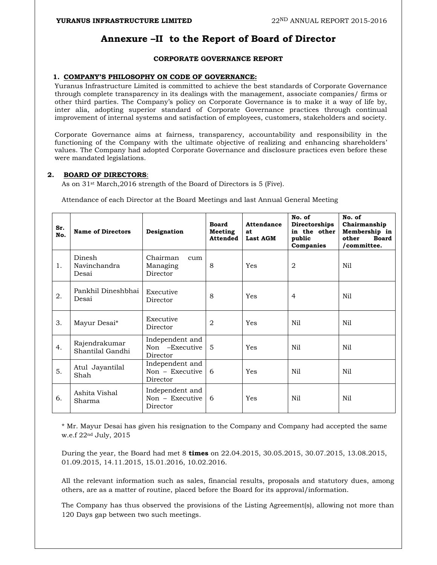## **Annexure –II to the Report of Board of Director**

### **CORPORATE GOVERNANCE REPORT**

#### **1. COMPANY'S PHILOSOPHY ON CODE OF GOVERNANCE:**

Yuranus Infrastructure Limited is committed to achieve the best standards of Corporate Governance through complete transparency in its dealings with the management, associate companies/ firms or other third parties. The Company's policy on Corporate Governance is to make it a way of life by, inter alia, adopting superior standard of Corporate Governance practices through continual improvement of internal systems and satisfaction of employees, customers, stakeholders and society.

Corporate Governance aims at fairness, transparency, accountability and responsibility in the functioning of the Company with the ultimate objective of realizing and enhancing shareholders' values. The Company had adopted Corporate Governance and disclosure practices even before these were mandated legislations.

#### **2. BOARD OF DIRECTORS**:

As on 31st March,2016 strength of the Board of Directors is 5 (Five).

Attendance of each Director at the Board Meetings and last Annual General Meeting

| Sr.<br>No. | <b>Name of Directors</b>          | Designation                                      | <b>Board</b><br><b>Meeting</b><br><b>Attended</b> | Attendance<br>at<br><b>Last AGM</b> | No. of<br>Directorships<br>in the other<br>public<br>Companies | No. of<br>Chairmanship<br>Membership in<br><b>Board</b><br>other<br>/committee. |
|------------|-----------------------------------|--------------------------------------------------|---------------------------------------------------|-------------------------------------|----------------------------------------------------------------|---------------------------------------------------------------------------------|
| 1.         | Dinesh<br>Navinchandra<br>Desai   | Chairman<br>cum<br>Managing<br>Director          | 8                                                 | Yes                                 | 2                                                              | Nil                                                                             |
| 2.         | Pankhil Dineshbhai<br>Desai       | Executive<br>Director                            | 8                                                 | Yes                                 | 4                                                              | Nil                                                                             |
| 3.         | Mayur Desai*                      | Executive<br>Director                            | 2                                                 | Yes                                 | N <sub>i</sub>                                                 | Nil                                                                             |
| 4.         | Rajendrakumar<br>Shantilal Gandhi | Independent and<br>Non -Executive<br>Director    | $\overline{5}$                                    | Yes                                 | N <sub>i</sub>                                                 | Nil                                                                             |
| 5.         | Atul Jayantilal<br>Shah           | Independent and<br>$Non - Executive$<br>Director | 6                                                 | Yes                                 | Nil                                                            | Nil                                                                             |
| 6.         | Ashita Vishal<br>Sharma           | Independent and<br>$Non - Exective$<br>Director  | 6                                                 | Yes                                 | N <sub>i</sub>                                                 | Nil                                                                             |

\* Mr. Mayur Desai has given his resignation to the Company and Company had accepted the same w.e.f 22nd July, 2015

During the year, the Board had met 8 **times** on 22.04.2015, 30.05.2015, 30.07.2015, 13.08.2015, 01.09.2015, 14.11.2015, 15.01.2016, 10.02.2016.

All the relevant information such as sales, financial results, proposals and statutory dues, among others, are as a matter of routine, placed before the Board for its approval/information.

The Company has thus observed the provisions of the Listing Agreement(s), allowing not more than 120 Days gap between two such meetings.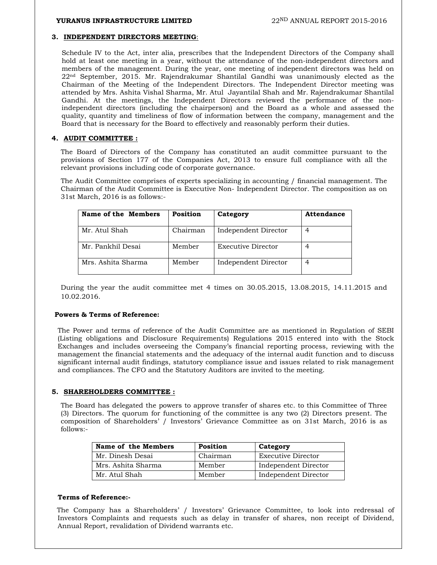#### **3. INDEPENDENT DIRECTORS MEETING**:

Schedule IV to the Act, inter alia, prescribes that the Independent Directors of the Company shall hold at least one meeting in a year, without the attendance of the non-independent directors and members of the management. During the year, one meeting of independent directors was held on 22nd September, 2015. Mr. Rajendrakumar Shantilal Gandhi was unanimously elected as the Chairman of the Meeting of the Independent Directors. The Independent Director meeting was attended by Mrs. Ashita Vishal Sharma, Mr. Atul Jayantilal Shah and Mr. Rajendrakumar Shantilal Gandhi. At the meetings, the Independent Directors reviewed the performance of the nonindependent directors (including the chairperson) and the Board as a whole and assessed the quality, quantity and timeliness of flow of information between the company, management and the Board that is necessary for the Board to effectively and reasonably perform their duties.

#### **4. AUDIT COMMITTEE :**

The Board of Directors of the Company has constituted an audit committee pursuant to the provisions of Section 177 of the Companies Act, 2013 to ensure full compliance with all the relevant provisions including code of corporate governance.

The Audit Committee comprises of experts specializing in accounting / financial management. The Chairman of the Audit Committee is Executive Non- Independent Director. The composition as on 31st March, 2016 is as follows:-

| Name of the Members | <b>Position</b> | Category             | <b>Attendance</b> |
|---------------------|-----------------|----------------------|-------------------|
| Mr. Atul Shah       | Chairman        | Independent Director |                   |
| Mr. Pankhil Desai   | Member          | Executive Director   |                   |
| Mrs. Ashita Sharma  | Member          | Independent Director |                   |

During the year the audit committee met 4 times on 30.05.2015, 13.08.2015, 14.11.2015 and 10.02.2016.

#### **Powers & Terms of Reference:**

The Power and terms of reference of the Audit Committee are as mentioned in Regulation of SEBI (Listing obligations and Disclosure Requirements) Regulations 2015 entered into with the Stock Exchanges and includes overseeing the Company's financial reporting process, reviewing with the management the financial statements and the adequacy of the internal audit function and to discuss significant internal audit findings, statutory compliance issue and issues related to risk management and compliances. The CFO and the Statutory Auditors are invited to the meeting.

#### **5. SHAREHOLDERS COMMITTEE :**

The Board has delegated the powers to approve transfer of shares etc. to this Committee of Three (3) Directors. The quorum for functioning of the committee is any two (2) Directors present. The composition of Shareholders' / Investors' Grievance Committee as on 31st March, 2016 is as follows:-

| Name of the Members | Position | Category             |
|---------------------|----------|----------------------|
| Mr. Dinesh Desai    | Chairman | Executive Director   |
| Mrs. Ashita Sharma  | Member   | Independent Director |
| Mr. Atul Shah       | Member   | Independent Director |

#### **Terms of Reference:-**

 The Company has a Shareholders' / Investors' Grievance Committee, to look into redressal of Investors Complaints and requests such as delay in transfer of shares, non receipt of Dividend, Annual Report, revalidation of Dividend warrants etc.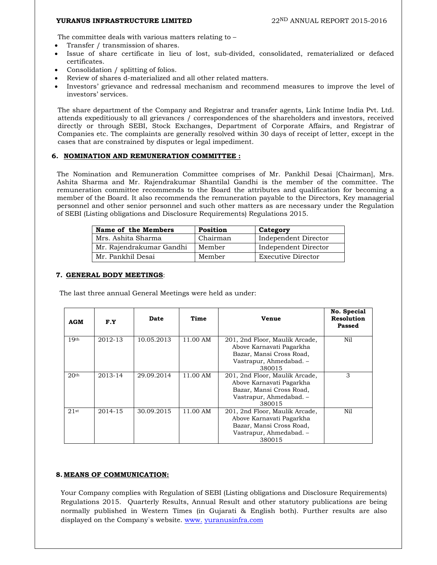The committee deals with various matters relating to –

- Transfer / transmission of shares.
- Issue of share certificate in lieu of lost, sub-divided, consolidated, rematerialized or defaced certificates.
- Consolidation / splitting of folios.
- Review of shares d-materialized and all other related matters.
- Investors' grievance and redressal mechanism and recommend measures to improve the level of investors' services.

The share department of the Company and Registrar and transfer agents, Link Intime India Pvt. Ltd. attends expeditiously to all grievances / correspondences of the shareholders and investors, received directly or through SEBI, Stock Exchanges, Department of Corporate Affairs, and Registrar of Companies etc. The complaints are generally resolved within 30 days of receipt of letter, except in the cases that are constrained by disputes or legal impediment.

#### **6. NOMINATION AND REMUNERATION COMMITTEE :**

The Nomination and Remuneration Committee comprises of Mr. Pankhil Desai [Chairman], Mrs. Ashita Sharma and Mr. Rajendrakumar Shantilal Gandhi is the member of the committee. The remuneration committee recommends to the Board the attributes and qualification for becoming a member of the Board. It also recommends the remuneration payable to the Directors, Key managerial personnel and other senior personnel and such other matters as are necessary under the Regulation of SEBI (Listing obligations and Disclosure Requirements) Regulations 2015.

| Name of the Members      | Position | Category             |
|--------------------------|----------|----------------------|
| Mrs. Ashita Sharma       | Chairman | Independent Director |
| Mr. Rajendrakumar Gandhi | Member   | Independent Director |
| Mr. Pankhil Desai        | Member   | Executive Director   |

#### **7. GENERAL BODY MEETINGS**:

The last three annual General Meetings were held as under:

| <b>AGM</b>       | F.Y     | Date       | Time     | <b>Venue</b>                                                                                                                | No. Special<br><b>Resolution</b><br>Passed |
|------------------|---------|------------|----------|-----------------------------------------------------------------------------------------------------------------------------|--------------------------------------------|
| 19 <sup>th</sup> | 2012-13 | 10.05.2013 | 11.00 AM | 201, 2nd Floor, Maulik Arcade,<br>Above Karnavati Pagarkha<br>Bazar, Mansi Cross Road,<br>Vastrapur, Ahmedabad. -<br>380015 | Nil                                        |
| 20 <sup>th</sup> | 2013-14 | 29.09.2014 | 11.00 AM | 201, 2nd Floor, Maulik Arcade,<br>Above Karnavati Pagarkha<br>Bazar, Mansi Cross Road,<br>Vastrapur, Ahmedabad. -<br>380015 | 3                                          |
| 21st             | 2014-15 | 30.09.2015 | 11.00 AM | 201, 2nd Floor, Maulik Arcade,<br>Above Karnavati Pagarkha<br>Bazar, Mansi Cross Road,<br>Vastrapur, Ahmedabad. -<br>380015 | Nil                                        |

#### **8. MEANS OF COMMUNICATION:**

Your Company complies with Regulation of SEBI (Listing obligations and Disclosure Requirements) Regulations 2015. Quarterly Results, Annual Result and other statutory publications are being normally published in Western Times (in Gujarati & English both). Further results are also displayed on the Company`s website. www. yuranusinfra.com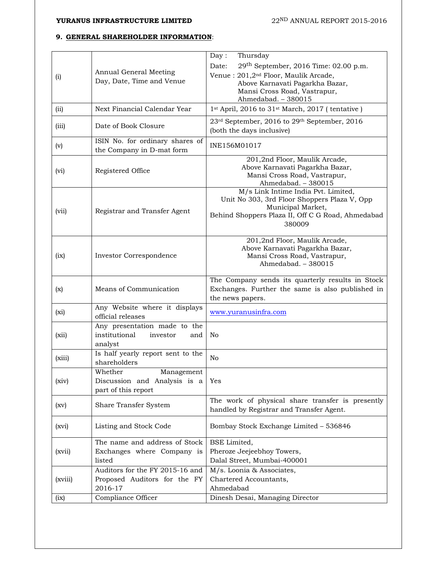### **9. GENERAL SHAREHOLDER INFORMATION**:

|         |                                                              | Day:<br>Thursday                                                                                  |
|---------|--------------------------------------------------------------|---------------------------------------------------------------------------------------------------|
|         |                                                              | 29th September, 2016 Time: 02.00 p.m.<br>Date:                                                    |
| (i)     | Annual General Meeting                                       | Venue : 201,2 <sup>nd</sup> Floor, Maulik Arcade,                                                 |
|         | Day, Date, Time and Venue                                    | Above Karnavati Pagarkha Bazar,                                                                   |
|         |                                                              | Mansi Cross Road, Vastrapur,<br>Ahmedabad. - 380015                                               |
| (ii)    | Next Financial Calendar Year                                 | 1st April, 2016 to 31st March, 2017 (tentative)                                                   |
|         |                                                              |                                                                                                   |
| (iii)   | Date of Book Closure                                         | 23 <sup>rd</sup> September, 2016 to 29 <sup>th</sup> September, 2016<br>(both the days inclusive) |
| (v)     | ISIN No. for ordinary shares of<br>the Company in D-mat form | INE156M01017                                                                                      |
|         |                                                              | 201,2nd Floor, Maulik Arcade,                                                                     |
| (vi)    | Registered Office                                            | Above Karnavati Pagarkha Bazar,<br>Mansi Cross Road, Vastrapur,                                   |
|         |                                                              | Ahmedabad. - 380015                                                                               |
|         |                                                              | M/s Link Intime India Pvt. Limited,                                                               |
|         |                                                              | Unit No 303, 3rd Floor Shoppers Plaza V, Opp                                                      |
| (vii)   | Registrar and Transfer Agent                                 | Municipal Market,<br>Behind Shoppers Plaza II, Off C G Road, Ahmedabad                            |
|         |                                                              | 380009                                                                                            |
|         |                                                              |                                                                                                   |
|         |                                                              | 201,2nd Floor, Maulik Arcade,<br>Above Karnavati Pagarkha Bazar,                                  |
| (ix)    | Investor Correspondence                                      | Mansi Cross Road, Vastrapur,                                                                      |
|         |                                                              | Ahmedabad. - 380015                                                                               |
|         |                                                              | The Company sends its quarterly results in Stock                                                  |
| (x)     | Means of Communication                                       | Exchanges. Further the same is also published in                                                  |
|         |                                                              | the news papers.                                                                                  |
| $(x_i)$ | Any Website where it displays                                | www.yuranusinfra.com                                                                              |
|         | official releases                                            |                                                                                                   |
|         | Any presentation made to the<br>institutional<br>investor    |                                                                                                   |
| (xii)   | and<br>analyst                                               | No                                                                                                |
|         | Is half yearly report sent to the                            |                                                                                                   |
| (xiii)  | shareholders                                                 | N <sub>o</sub>                                                                                    |
|         | Whether<br>Management                                        |                                                                                                   |
| (xiv)   | Discussion and Analysis is a                                 | Yes                                                                                               |
|         | part of this report                                          |                                                                                                   |
| (xv)    | Share Transfer System                                        | The work of physical share transfer is presently                                                  |
|         |                                                              | handled by Registrar and Transfer Agent.                                                          |
| (xvi)   | Listing and Stock Code                                       | Bombay Stock Exchange Limited - 536846                                                            |
|         | The name and address of Stock                                | BSE Limited,                                                                                      |
| (xvii)  | Exchanges where Company is                                   | Pheroze Jeejeebhoy Towers,                                                                        |
|         | listed                                                       | Dalal Street, Mumbai-400001                                                                       |
|         | Auditors for the FY 2015-16 and                              | M/s. Loonia & Associates,                                                                         |
| (xviii) | Proposed Auditors for the FY                                 | Chartered Accountants,                                                                            |
|         | 2016-17                                                      | Ahmedabad                                                                                         |
| (ix)    | Compliance Officer                                           | Dinesh Desai, Managing Director                                                                   |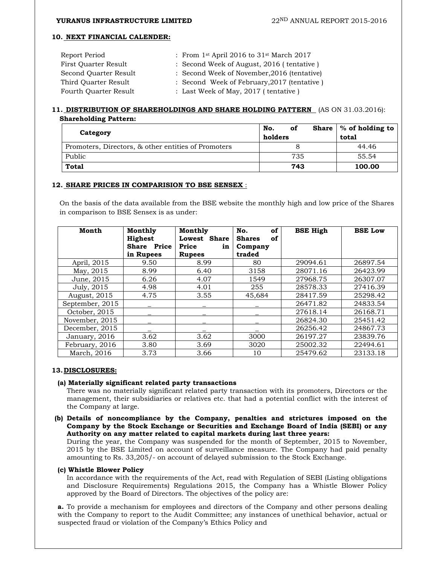#### **10. NEXT FINANCIAL CALENDER:**

| Report Period         | : From $1st$ April 2016 to $31st$ March 2017 |
|-----------------------|----------------------------------------------|
| First Ouarter Result  | : Second Week of August, 2016 (tentative)    |
| Second Ouarter Result | : Second Week of November, 2016 (tentative)  |
| Third Ouarter Result  | : Second Week of February, 2017 (tentative)  |
| Fourth Quarter Result | : Last Week of May, 2017 (tentative)         |

#### **11. DISTRIBUTION OF SHAREHOLDINGS AND SHARE HOLDING PATTERN** (AS ON 31.03.2016): **Shareholding Pattern:**

| Category                                            | No.<br>οf<br>holders | Share $\frac{1}{2}$ of holding to<br>total |
|-----------------------------------------------------|----------------------|--------------------------------------------|
| Promoters, Directors, & other entities of Promoters |                      | 44.46                                      |
| Public                                              | 735                  | 55.54                                      |
| Total                                               | 743                  | 100.00                                     |

#### **12. SHARE PRICES IN COMPARISION TO BSE SENSEX** :

On the basis of the data available from the BSE website the monthly high and low price of the Shares in comparison to BSE Sensex is as under:

| Month           | Monthly<br><b>Highest</b><br><b>Share Price</b><br>in Rupees | Monthly<br>Lowest Share<br>Price<br>in<br><b>Rupees</b> | of<br>No.<br><b>Shares</b><br>of<br>Company<br>traded | <b>BSE High</b> | <b>BSE Low</b> |
|-----------------|--------------------------------------------------------------|---------------------------------------------------------|-------------------------------------------------------|-----------------|----------------|
| April, 2015     | 9.50                                                         | 8.99                                                    | 80                                                    | 29094.61        | 26897.54       |
| May, 2015       | 8.99                                                         | 6.40                                                    | 3158                                                  | 28071.16        | 26423.99       |
| June, 2015      | 6.26                                                         | 4.07                                                    | 1549                                                  | 27968.75        | 26307.07       |
| July, 2015      | 4.98                                                         | 4.01                                                    | 255                                                   | 28578.33        | 27416.39       |
| August, 2015    | 4.75                                                         | 3.55                                                    | 45,684                                                | 28417.59        | 25298.42       |
| September, 2015 |                                                              |                                                         |                                                       | 26471.82        | 24833.54       |
| October, 2015   |                                                              |                                                         |                                                       | 27618.14        | 26168.71       |
| November, 2015  |                                                              |                                                         |                                                       | 26824.30        | 25451.42       |
| December, 2015  |                                                              |                                                         |                                                       | 26256.42        | 24867.73       |
| January, 2016   | 3.62                                                         | 3.62                                                    | 3000                                                  | 26197.27        | 23839.76       |
| February, 2016  | 3.80                                                         | 3.69                                                    | 3020                                                  | 25002.32        | 22494.61       |
| March, 2016     | 3.73                                                         | 3.66                                                    | 10                                                    | 25479.62        | 23133.18       |

#### **13.DISCLOSURES:**

#### **(a) Materially significant related party transactions**

There was no materially significant related party transaction with its promoters, Directors or the management, their subsidiaries or relatives etc. that had a potential conflict with the interest of the Company at large.

#### **(b) Details of noncompliance by the Company, penalties and strictures imposed on the Company by the Stock Exchange or Securities and Exchange Board of India (SEBI) or any Authority on any matter related to capital markets during last three years:**

During the year, the Company was suspended for the month of September, 2015 to November, 2015 by the BSE Limited on account of surveillance measure. The Company had paid penalty amounting to Rs. 33,205/- on account of delayed submission to the Stock Exchange.

#### **(c) Whistle Blower Policy**

In accordance with the requirements of the Act, read with Regulation of SEBI (Listing obligations and Disclosure Requirements) Regulations 2015, the Company has a Whistle Blower Policy approved by the Board of Directors. The objectives of the policy are:

**a.** To provide a mechanism for employees and directors of the Company and other persons dealing with the Company to report to the Audit Committee; any instances of unethical behavior, actual or suspected fraud or violation of the Company's Ethics Policy and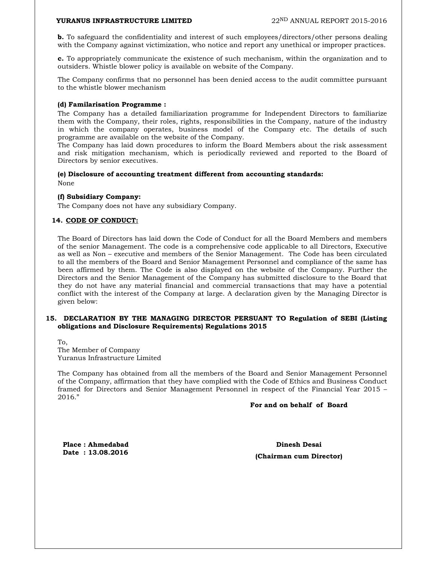**b.** To safeguard the confidentiality and interest of such employees/directors/other persons dealing with the Company against victimization, who notice and report any unethical or improper practices.

**c.** To appropriately communicate the existence of such mechanism, within the organization and to outsiders. Whistle blower policy is available on website of the Company.

The Company confirms that no personnel has been denied access to the audit committee pursuant to the whistle blower mechanism

#### **(d) Familarisation Programme :**

The Company has a detailed familiarization programme for Independent Directors to familiarize them with the Company, their roles, rights, responsibilities in the Company, nature of the industry in which the company operates, business model of the Company etc. The details of such programme are available on the website of the Company.

The Company has laid down procedures to inform the Board Members about the risk assessment and risk mitigation mechanism, which is periodically reviewed and reported to the Board of Directors by senior executives.

#### **(e) Disclosure of accounting treatment different from accounting standards:**

None

#### **(f) Subsidiary Company:**

The Company does not have any subsidiary Company.

#### **14. CODE OF CONDUCT:**

The Board of Directors has laid down the Code of Conduct for all the Board Members and members of the senior Management. The code is a comprehensive code applicable to all Directors, Executive as well as Non – executive and members of the Senior Management. The Code has been circulated to all the members of the Board and Senior Management Personnel and compliance of the same has been affirmed by them. The Code is also displayed on the website of the Company. Further the Directors and the Senior Management of the Company has submitted disclosure to the Board that they do not have any material financial and commercial transactions that may have a potential conflict with the interest of the Company at large. A declaration given by the Managing Director is given below:

#### **15. DECLARATION BY THE MANAGING DIRECTOR PERSUANT TO Regulation of SEBI (Listing obligations and Disclosure Requirements) Regulations 2015**

To, The Member of Company Yuranus Infrastructure Limited

The Company has obtained from all the members of the Board and Senior Management Personnel of the Company, affirmation that they have complied with the Code of Ethics and Business Conduct framed for Directors and Senior Management Personnel in respect of the Financial Year 2015 – 2016."

#### **For and on behalf of Board**

**Place : Ahmedabad Dinesh Desai** 

**Date : 13.08.2016 (Chairman cum Director)**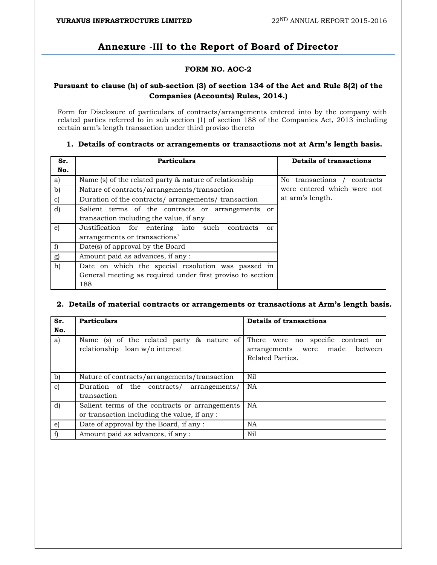## **Annexure ‐III to the Report of Board of Director**

### **FORM NO. AOC-2**

### **Pursuant to clause (h) of sub-section (3) of section 134 of the Act and Rule 8(2) of the Companies (Accounts) Rules, 2014.)**

Form for Disclosure of particulars of contracts/arrangements entered into by the company with related parties referred to in sub section (1) of section 188 of the Companies Act, 2013 including certain arm's length transaction under third proviso thereto

| Sr.<br>No.   | <b>Particulars</b>                                         | <b>Details of transactions</b> |
|--------------|------------------------------------------------------------|--------------------------------|
| a)           | Name (s) of the related party $\&$ nature of relationship  | No transactions /<br>contracts |
| b)           | Nature of contracts/arrangements/transaction               | were entered which were not    |
| $\mathbf{c}$ | Duration of the contracts/arrangements/transaction         | at arm's length.               |
| $\mathbf{d}$ | Salient terms of the contracts or arrangements or          |                                |
|              | transaction including the value, if any                    |                                |
| e)           | Justification for entering into<br>such<br>contracts<br>or |                                |
|              | arrangements or transactions'                              |                                |
| f            | Date(s) of approval by the Board                           |                                |
| g)           | Amount paid as advances, if any:                           |                                |
| h)           | Date on which the special resolution was passed in         |                                |
|              | General meeting as required under first proviso to section |                                |
|              | 188                                                        |                                |

#### **1. Details of contracts or arrangements or transactions not at Arm's length basis.**

#### **2. Details of material contracts or arrangements or transactions at Arm's length basis.**

| Sr.<br>No.   | <b>Particulars</b>                                                                             | <b>Details of transactions</b>                                                                 |
|--------------|------------------------------------------------------------------------------------------------|------------------------------------------------------------------------------------------------|
| a)           | Name (s) of the related party & nature of<br>relationship loan w/o interest                    | There were no specific contract or<br>made<br>between<br>arrangements were<br>Related Parties. |
| b)           | Nature of contracts/arrangements/transaction                                                   | Nil                                                                                            |
| $\mathbf{c}$ | Duration of the contracts/ arrangements/<br>transaction                                        | <b>NA</b>                                                                                      |
| d)           | Salient terms of the contracts or arrangements<br>or transaction including the value, if any : | <b>NA</b>                                                                                      |
| e)           | Date of approval by the Board, if any:                                                         | NA                                                                                             |
|              | Amount paid as advances, if any:                                                               | Nil                                                                                            |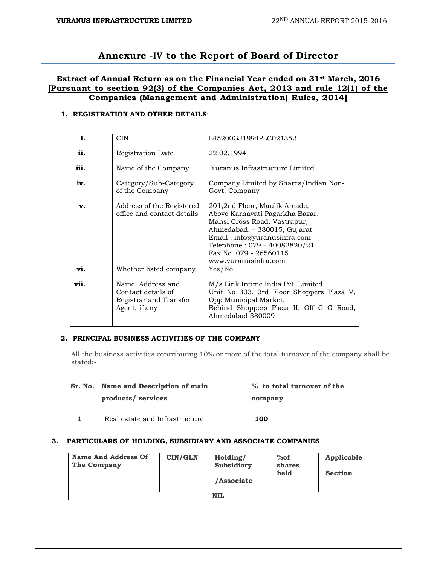## **Annexure ‐IV to the Report of Board of Director**

### **Extract of Annual Return as on the Financial Year ended on 31st March, 2016 [Pursuant to section 92(3) of the Companies Act, 2013 and rule 12(1) of the Companies (Management and Administration) Rules, 2014]**

#### **1. REGISTRATION AND OTHER DETAILS**:

| i.   | <b>CIN</b>                                                                         | L45200GJ1994PLC021352                                                                                                                                                                                                                              |
|------|------------------------------------------------------------------------------------|----------------------------------------------------------------------------------------------------------------------------------------------------------------------------------------------------------------------------------------------------|
| ii.  | Registration Date                                                                  | 22.02.1994                                                                                                                                                                                                                                         |
| iii. | Name of the Company                                                                | Yuranus Infrastructure Limited                                                                                                                                                                                                                     |
| iv.  | Category/Sub-Category<br>of the Company                                            | Company Limited by Shares/Indian Non-<br>Govt. Company                                                                                                                                                                                             |
| v.   | Address of the Registered<br>office and contact details                            | 201,2nd Floor, Maulik Arcade,<br>Above Karnavati Pagarkha Bazar,<br>Mansi Cross Road, Vastrapur,<br>Ahmedabad. – 380015, Gujarat<br>Email: info@yuranusinfra.com<br>Telephone: 079 - 40082820/21<br>Fax No. 079 - 26560115<br>www.yuranusinfra.com |
| vi.  | Whether listed company                                                             | Yes/He                                                                                                                                                                                                                                             |
| vii. | Name, Address and<br>Contact details of<br>Registrar and Transfer<br>Agent, if any | M/s Link Intime India Pvt. Limited,<br>Unit No 303, 3rd Floor Shoppers Plaza V,<br>Opp Municipal Market,<br>Behind Shoppers Plaza II, Off C G Road,<br>Ahmedabad 380009                                                                            |

#### **2. PRINCIPAL BUSINESS ACTIVITIES OF THE COMPANY**

All the business activities contributing 10% or more of the total turnover of the company shall be stated:-

| Sr. No. | <b>Name and Description of main</b> | % to total turnover of the |
|---------|-------------------------------------|----------------------------|
|         | products/ services                  | company                    |
|         |                                     |                            |
|         | Real estate and Infrastructure      | 100                        |

#### **3. PARTICULARS OF HOLDING, SUBSIDIARY AND ASSOCIATE COMPANIES**

| <b>Name And Address Of</b><br>The Company | CIN/GLN | Holding/<br><b>Subsidiary</b><br>/Associate | $%$ of<br>shares<br>held | Applicable<br><b>Section</b> |
|-------------------------------------------|---------|---------------------------------------------|--------------------------|------------------------------|
|                                           |         | <b>NIL</b>                                  |                          |                              |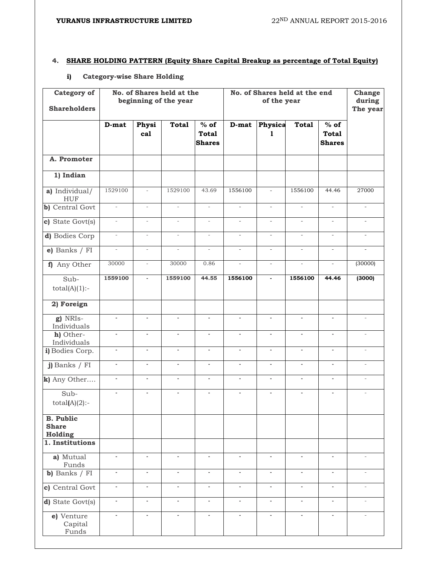### **4. SHARE HOLDING PATTERN (Equity Share Capital Breakup as percentage of Total Equity)**

#### **i) Category-wise Share Holding**

| <b>Category of</b><br><b>Shareholders</b>   |                          |                          | No. of Shares held at the<br>beginning of the year |                                         | No. of Shares held at the end<br>of the year |                          |                          | Change<br>during<br>The year            |                          |
|---------------------------------------------|--------------------------|--------------------------|----------------------------------------------------|-----------------------------------------|----------------------------------------------|--------------------------|--------------------------|-----------------------------------------|--------------------------|
|                                             | D-mat                    | Physi<br>cal             | <b>Total</b>                                       | $%$ of<br><b>Total</b><br><b>Shares</b> | D-mat                                        | Physica<br>1             | <b>Total</b>             | $%$ of<br><b>Total</b><br><b>Shares</b> |                          |
| A. Promoter                                 |                          |                          |                                                    |                                         |                                              |                          |                          |                                         |                          |
| 1) Indian                                   |                          |                          |                                                    |                                         |                                              |                          |                          |                                         |                          |
| a) Individual/<br><b>HUF</b>                | 1529100                  | $\overline{\phantom{a}}$ | 1529100                                            | 43.69                                   | 1556100                                      | $\overline{\phantom{a}}$ | 1556100                  | 44.46                                   | 27000                    |
| b) Central Govt                             | $\bar{\phantom{a}}$      | $\overline{\phantom{a}}$ | $\frac{1}{2}$                                      | $\overline{\phantom{m}}$                | $\bar{ }$                                    | $\overline{\phantom{a}}$ | $\overline{a}$           | $\overline{a}$                          | $\bar{\phantom{a}}$      |
| c) State Govt(s)                            | $\blacksquare$           | $\overline{\phantom{a}}$ | $\overline{\phantom{a}}$                           | $\overline{\phantom{a}}$                | $\overline{\phantom{a}}$                     | $\overline{\phantom{a}}$ | $\overline{\phantom{a}}$ | $\overline{\phantom{a}}$                | $\overline{\phantom{a}}$ |
| d) Bodies Corp                              | $\bar{a}$                | $\bar{\phantom{a}}$      | $\mathcal{L}$                                      | $\bar{a}$                               | $\equiv$                                     | $\overline{\phantom{a}}$ | $\omega$                 | $\omega$                                | $\overline{\phantom{a}}$ |
| e) Banks / FI                               | $\overline{\phantom{a}}$ | $\overline{\phantom{a}}$ | $\bar{\phantom{a}}$                                | $\overline{\phantom{a}}$                | $\overline{\phantom{a}}$                     |                          | $\overline{\phantom{a}}$ | $\overline{\phantom{a}}$                | $\overline{\phantom{a}}$ |
| f) Any Other                                | 30000                    | $\overline{\phantom{a}}$ | 30000                                              | 0.86                                    | $\overline{\phantom{a}}$                     | $\overline{\phantom{a}}$ | $\overline{\phantom{a}}$ | $\overline{\phantom{a}}$                | (30000)                  |
| Sub-<br>$total(A)(1)$ :-                    | 1559100                  | $\blacksquare$           | 1559100                                            | 44.55                                   | 1556100                                      | $\blacksquare$           | 1556100                  | 44.46                                   | (3000)                   |
| 2) Foreign                                  |                          |                          |                                                    |                                         |                                              |                          |                          |                                         |                          |
| g) NRIs-<br>Individuals                     | ÷,                       | L,                       | ÷.                                                 | ä,                                      | ÷,                                           | $\blacksquare$           | ä,                       | ÷.                                      | $\sim$                   |
| h) Other-<br>Individuals                    | $\blacksquare$           | $\Box$                   | $\blacksquare$                                     | $\blacksquare$                          | $\blacksquare$                               | $\blacksquare$           | $\Box$                   | $\omega$                                | $\equiv$                 |
| i) Bodies Corp.                             | $\blacksquare$           | $\blacksquare$           | $\blacksquare$                                     | $\blacksquare$                          | $\blacksquare$                               | $\blacksquare$           | ÷,                       | $\blacksquare$                          | $\overline{\phantom{a}}$ |
| j) Banks / FI                               | $\blacksquare$           | ä,                       | $\mathcal{L}_{\mathcal{A}}$                        | $\sim$                                  | $\sim$                                       | $\blacksquare$           | ä,                       | $\mathbf{r}$                            | $\bar{a}$                |
| k) Any Other                                | $\overline{\phantom{a}}$ | ÷,                       | $\overline{\phantom{a}}$                           | $\overline{\phantom{a}}$                | $\overline{\phantom{a}}$                     | $\blacksquare$           | ÷,                       | $\blacksquare$                          | $\overline{\phantom{a}}$ |
| Sub-<br>$total(A)(2)$ :-                    | $\overline{\phantom{a}}$ | ÷,                       | $\overline{\phantom{a}}$                           | $\overline{\phantom{a}}$                | $\blacksquare$                               | $\blacksquare$           | $\blacksquare$           | $\overline{\phantom{a}}$                | $\overline{\phantom{a}}$ |
| <b>B.</b> Public<br><b>Share</b><br>Holding |                          |                          |                                                    |                                         |                                              |                          |                          |                                         |                          |
| 1. Institutions                             |                          |                          |                                                    |                                         |                                              |                          |                          |                                         |                          |
| a) Mutual<br>Funds                          | $\overline{\phantom{a}}$ | $\blacksquare$           | $\blacksquare$                                     | $\overline{\phantom{a}}$                | $\blacksquare$                               | $\blacksquare$           | $\blacksquare$           | $\blacksquare$                          | $\overline{\phantom{a}}$ |
| $\overline{\text{b}}$ ) Banks / FI          | $\overline{\phantom{a}}$ | $\blacksquare$           | $\mathcal{L}_{\mathcal{A}}$                        | $\blacksquare$                          | $\blacksquare$                               | $\blacksquare$           | $\overline{\phantom{a}}$ | $\mathcal{L}_{\mathcal{A}}$             | $\bar{a}$                |
| c) Central Govt                             | $\overline{\phantom{a}}$ | $\blacksquare$           | $\overline{\phantom{a}}$                           | $\overline{\phantom{a}}$                | $\blacksquare$                               | $\overline{\phantom{a}}$ | $\overline{\phantom{a}}$ | $\overline{\phantom{a}}$                | $\overline{\phantom{a}}$ |
| d) State Govt(s)                            | $\overline{\phantom{a}}$ | $\overline{\phantom{a}}$ | $\blacksquare$                                     | $\blacksquare$                          | $\blacksquare$                               | $\blacksquare$           | $\blacksquare$           | $\blacksquare$                          | $\overline{\phantom{a}}$ |
| e) Venture<br>Capital<br>Funds              | $\overline{\phantom{a}}$ | $\overline{\phantom{a}}$ | $\overline{\phantom{a}}$                           | $\overline{\phantom{a}}$                | $\overline{\phantom{a}}$                     | $\overline{\phantom{a}}$ | $\overline{\phantom{a}}$ | $\overline{\phantom{a}}$                | $\overline{\phantom{a}}$ |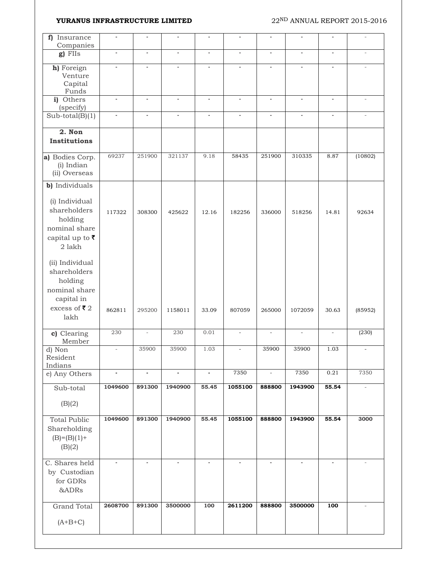| Insurance<br>f)                                                                                                          |                          |                |                |                          |                          |                          |                          |                          |                          |
|--------------------------------------------------------------------------------------------------------------------------|--------------------------|----------------|----------------|--------------------------|--------------------------|--------------------------|--------------------------|--------------------------|--------------------------|
| Companies<br>$g$ ) FIIs                                                                                                  | $\blacksquare$           | $\blacksquare$ | $\blacksquare$ | $\blacksquare$           | $\overline{\phantom{a}}$ | $\overline{\phantom{a}}$ | $\blacksquare$           | $\overline{\phantom{a}}$ |                          |
|                                                                                                                          |                          |                |                |                          |                          |                          |                          |                          |                          |
| h) Foreign<br>Venture                                                                                                    | ÷,                       |                |                | ä,                       |                          |                          | $\overline{\phantom{a}}$ |                          |                          |
| Capital                                                                                                                  |                          |                |                |                          |                          |                          |                          |                          |                          |
| Funds                                                                                                                    |                          |                |                |                          |                          |                          |                          |                          |                          |
| i) Others<br>(specify)                                                                                                   | $\blacksquare$           | $\blacksquare$ | $\blacksquare$ | $\overline{\phantom{a}}$ | $\blacksquare$           | $\blacksquare$           | $\blacksquare$           | $\overline{\phantom{a}}$ | $\bar{a}$                |
| $Sub-total(B)(1)$                                                                                                        | ÷,                       | ä,             | ÷              | ä,                       |                          | $\overline{a}$           | $\sim$                   |                          |                          |
| 2. Non<br><b>Institutions</b>                                                                                            |                          |                |                |                          |                          |                          |                          |                          |                          |
| a) Bodies Corp.<br>(i) Indian<br>(ii) Overseas                                                                           | 69237                    | 251900         | 321137         | 9.18                     | 58435                    | 251900                   | 310335                   | 8.87                     | (10802)                  |
| b) Individuals                                                                                                           |                          |                |                |                          |                          |                          |                          |                          |                          |
| (i) Individual<br>shareholders<br>holding<br>nominal share<br>capital up to $\overline{\tau}$<br>2 lakh                  | 117322                   | 308300         | 425622         | 12.16                    | 182256                   | 336000                   | 518256                   | 14.81                    | 92634                    |
| (ii) Individual<br>shareholders<br>holding<br>nominal share<br>capital in<br>excess of $\overline{\mathbf{z}}$ 2<br>lakh | 862811                   | 295200         | 1158011        | 33.09                    | 807059                   | 265000                   | 1072059                  | 30.63                    | (85952)                  |
| c) Clearing<br>Member                                                                                                    | 230                      | ÷,             | 230            | 0.01                     | $\overline{\phantom{a}}$ |                          | $\overline{\phantom{a}}$ | $\bar{\phantom{a}}$      | (230)                    |
| d) Non<br>Resident<br>Indians                                                                                            | $\overline{\phantom{a}}$ | 35900          | 35900          | 1.03                     | $\overline{\phantom{a}}$ | 35900                    | 35900                    | 1.03                     | $\overline{\phantom{a}}$ |
| e) Any Others                                                                                                            | $\blacksquare$           | $\blacksquare$ | $\blacksquare$ | $\blacksquare$           | 7350                     | $\overline{\phantom{a}}$ | 7350                     | 0.21                     | 7350                     |
| Sub-total                                                                                                                | 1049600                  | 891300         | 1940900        | 55.45                    | 1055100                  | 888800                   | 1943900                  | 55.54                    | $\overline{\phantom{a}}$ |
| (B)(2)                                                                                                                   |                          |                |                |                          |                          |                          |                          |                          |                          |
| <b>Total Public</b><br>Shareholding<br>$(B)= (B)(1) +$<br>(B)(2)                                                         | 1049600                  | 891300         | 1940900        | 55.45                    | 1055100                  | 888800                   | 1943900                  | 55.54                    | 3000                     |
| C. Shares held<br>by Custodian<br>for GDRs<br>&ADRs                                                                      |                          |                |                | $\blacksquare$           |                          |                          |                          |                          |                          |
|                                                                                                                          |                          |                |                |                          |                          |                          |                          |                          |                          |
| <b>Grand Total</b>                                                                                                       | 2608700                  | 891300         | 3500000        | 100                      | 2611200                  | 888800                   | 3500000                  | $\overline{100}$         |                          |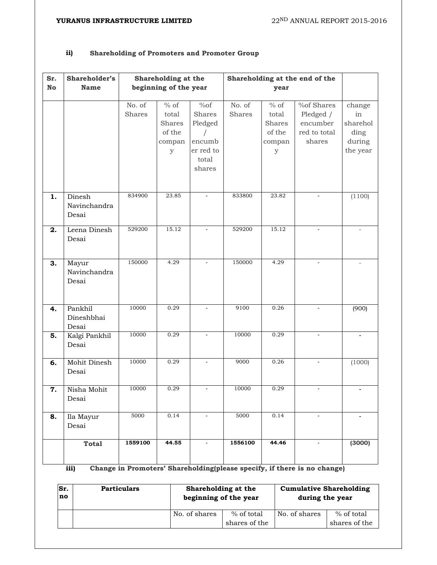### **ii) Shareholding of Promoters and Promoter Group**

| Sr.           | Shareholder's                   |                         | Shareholding at the                                                      |                                                                           | Shareholding at the end of the |                                                              |                                                               |                                                        |
|---------------|---------------------------------|-------------------------|--------------------------------------------------------------------------|---------------------------------------------------------------------------|--------------------------------|--------------------------------------------------------------|---------------------------------------------------------------|--------------------------------------------------------|
| $\mathbf N$ o | <b>Name</b>                     |                         | beginning of the year                                                    |                                                                           |                                | year                                                         |                                                               |                                                        |
|               |                                 | No. of<br><b>Shares</b> | $\frac{1}{\%}$ of<br>total<br>Shares<br>of the<br>compan<br>$\mathbf{y}$ | %of<br><b>Shares</b><br>Pledged<br>encumb<br>er red to<br>total<br>shares | No. of<br>Shares               | $%$ of<br>total<br>Shares<br>of the<br>compan<br>$\mathbf y$ | %of Shares<br>Pledged /<br>encumber<br>red to total<br>shares | change<br>in<br>sharehol<br>ding<br>during<br>the year |
| 1.            | Dinesh<br>Navinchandra<br>Desai | 834900                  | 23.85                                                                    |                                                                           | 833800                         | 23.82                                                        |                                                               | (1100)                                                 |
| 2.            | Leena Dinesh<br>Desai           | 529200                  | 15.12                                                                    | $\overline{\phantom{a}}$                                                  | 529200                         | 15.12                                                        | $\blacksquare$                                                |                                                        |
| 3.            | Mayur<br>Navinchandra<br>Desai  | 150000                  | 4.29                                                                     | $\overline{\phantom{a}}$                                                  | 150000                         | 4.29                                                         | $\blacksquare$                                                | $\overline{\phantom{a}}$                               |
| 4.            | Pankhil<br>Dineshbhai<br>Desai  | 10000                   | 0.29                                                                     | $\blacksquare$                                                            | 9100                           | 0.26                                                         | $\overline{\phantom{a}}$                                      | (900)                                                  |
| 5.            | Kalgi Pankhil<br>Desai          | 10000                   | 0.29                                                                     | $\blacksquare$                                                            | 10000                          | 0.29                                                         |                                                               | $\sim$                                                 |
| 6.            | Mohit Dinesh<br>Desai           | 10000                   | 0.29                                                                     |                                                                           | 9000                           | 0.26                                                         |                                                               | (1000)                                                 |
| 7.            | Nisha Mohit<br>Desai            | 10000                   | 0.29                                                                     | $\overline{\phantom{a}}$                                                  | 10000                          | 0.29                                                         | $\overline{\phantom{a}}$                                      | $\blacksquare$                                         |
| 8.            | Ila Mayur<br>Desai              | 5000                    | 0.14                                                                     | $\overline{\phantom{a}}$                                                  | 5000                           | 0.14                                                         | $\overline{\phantom{a}}$                                      | $\blacksquare$                                         |
|               | <b>Total</b>                    | 1559100                 | 44.55                                                                    | $\blacksquare$                                                            | 1556100                        | 44.46                                                        | $\blacksquare$                                                | (3000)                                                 |

**iii) Change in Promoters' Shareholding(please specify, if there is no change)**

| Sr.<br>no | <b>Particulars</b> | Shareholding at the<br>beginning of the year |                             | <b>Cumulative Shareholding</b><br>during the year |                             |  |
|-----------|--------------------|----------------------------------------------|-----------------------------|---------------------------------------------------|-----------------------------|--|
|           |                    | No. of shares                                | % of total<br>shares of the | No. of shares                                     | % of total<br>shares of the |  |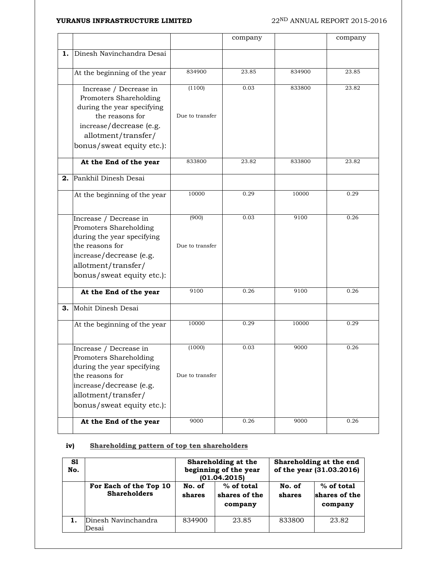|    |                                                                                                                                                                                  |                           | company |        | company |
|----|----------------------------------------------------------------------------------------------------------------------------------------------------------------------------------|---------------------------|---------|--------|---------|
| 1. | Dinesh Navinchandra Desai                                                                                                                                                        |                           |         |        |         |
|    |                                                                                                                                                                                  |                           |         |        |         |
|    | At the beginning of the year                                                                                                                                                     | 834900                    | 23.85   | 834900 | 23.85   |
|    | Increase / Decrease in<br>Promoters Shareholding<br>during the year specifying<br>the reasons for<br>increase/decrease (e.g.                                                     | (1100)<br>Due to transfer | 0.03    | 833800 | 23.82   |
|    | allotment/transfer/<br>bonus/sweat equity etc.):                                                                                                                                 |                           |         |        |         |
|    | At the End of the year                                                                                                                                                           | 833800                    | 23.82   | 833800 | 23.82   |
| 2. | Pankhil Dinesh Desai                                                                                                                                                             |                           |         |        |         |
|    | At the beginning of the year                                                                                                                                                     | 10000                     | 0.29    | 10000  | 0.29    |
|    | Increase / Decrease in<br>Promoters Shareholding<br>during the year specifying<br>the reasons for<br>increase/decrease (e.g.<br>allotment/transfer/<br>bonus/sweat equity etc.): | (900)<br>Due to transfer  | 0.03    | 9100   | 0.26    |
|    | At the End of the year                                                                                                                                                           | 9100                      | 0.26    | 9100   | 0.26    |
| 3. | Mohit Dinesh Desai                                                                                                                                                               |                           |         |        |         |
|    | At the beginning of the year                                                                                                                                                     | 10000                     | 0.29    | 10000  | 0.29    |
|    | Increase / Decrease in<br>Promoters Shareholding<br>during the year specifying<br>the reasons for<br>increase/decrease (e.g.<br>allotment/transfer/<br>bonus/sweat equity etc.): | (1000)<br>Due to transfer | 0.03    | 9000   | 0.26    |
|    | At the End of the year                                                                                                                                                           | 9000                      | 0.26    | 9000   | 0.26    |

### **iv) Shareholding pattern of top ten shareholders**

| S1<br>No. |                                               |                  | Shareholding at the<br>beginning of the year<br>(01.04.2015) | Shareholding at the end<br>of the year (31.03.2016) |                                          |  |
|-----------|-----------------------------------------------|------------------|--------------------------------------------------------------|-----------------------------------------------------|------------------------------------------|--|
|           | For Each of the Top 10<br><b>Shareholders</b> | No. of<br>shares | % of total<br>shares of the<br>company                       | No. of<br>shares                                    | $%$ of total<br>shares of the<br>company |  |
|           | Dinesh Navinchandra<br>Desai                  | 834900           | 23.85                                                        | 833800                                              | 23.82                                    |  |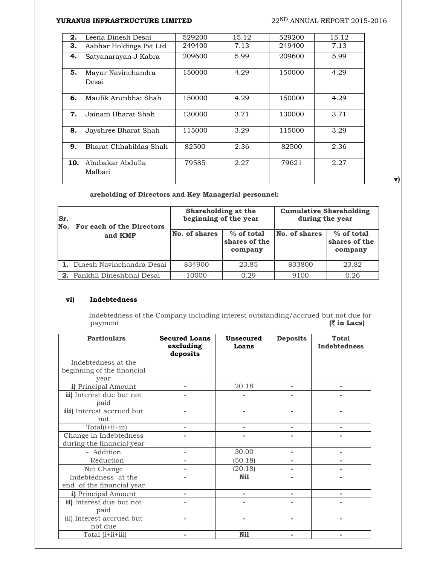| 2.  | Leena Dinesh Desai          | 529200 | 15.12 | 529200 | 15.12 |
|-----|-----------------------------|--------|-------|--------|-------|
| З.  | Aabhar Holdings Pvt Ltd     | 249400 | 7.13  | 249400 | 7.13  |
| 4.  | Satyanarayan J Kabra        | 209600 | 5.99  | 209600 | 5.99  |
| 5.  | Mayur Navinchandra<br>Desai | 150000 | 4.29  | 150000 | 4.29  |
| 6.  | Maulik Arunbhai Shah        | 150000 | 4.29  | 150000 | 4.29  |
| 7.  | Jainam Bharat Shah          | 130000 | 3.71  | 130000 | 3.71  |
| 8.  | Jayshree Bharat Shah        | 115000 | 3.29  | 115000 | 3.29  |
| 9.  | Bharat Chhabildas Shah      | 82500  | 2.36  | 82500  | 2.36  |
| 10. | Abubakar Abdulla<br>Malbari | 79585  | 2.27  | 79621  | 2.27  |

**v)**

### **areholding of Directors and Key Managerial personnel:**

| Sr.<br>No. | For each of the Directors | Shareholding at the<br>beginning of the year |                                          | <b>Cumulative Shareholding</b><br>during the year |                                          |  |
|------------|---------------------------|----------------------------------------------|------------------------------------------|---------------------------------------------------|------------------------------------------|--|
|            | and KMP                   | No. of shares                                | $%$ of total<br>shares of the<br>company | <b>No. of shares</b>                              | $%$ of total<br>shares of the<br>company |  |
|            | Dinesh Navinchandra Desai | 834900                                       | 23.85                                    | 833800                                            | 23.82                                    |  |
| 2.         | Pankhil Dineshbhai Desai  | 10000                                        | 0.29                                     | 9100                                              | 0.26                                     |  |

#### **vi) Indebtedness**

Indebtedness of the Company including interest outstanding/accrued but not due for payment ( $\overline{\tau}$  in Lacs)  $($  $\overline{\mathbf{z}}$  in Lacs)

| <b>Particulars</b>                                        | <b>Secured Loans</b><br>excluding<br>deposits | <b>Unsecured</b><br>Loans | <b>Deposits</b>          | <b>Total</b><br><b>Indebtedness</b> |
|-----------------------------------------------------------|-----------------------------------------------|---------------------------|--------------------------|-------------------------------------|
| Indebtedness at the<br>beginning of the financial<br>year |                                               |                           |                          |                                     |
| i) Principal Amount                                       |                                               | 20.18                     | ٠                        |                                     |
| ii) Interest due but not<br>paid                          |                                               |                           |                          |                                     |
| iii) Interest accrued but<br>not                          |                                               | ٠                         | $\overline{\phantom{0}}$ |                                     |
| Total(i+ii+iii)                                           |                                               |                           |                          |                                     |
| Change in Indebtedness<br>during the financial year       |                                               |                           |                          |                                     |
| - Addition                                                |                                               | 30.00                     |                          |                                     |
| - Reduction                                               |                                               | (50.18)                   |                          |                                     |
| Net Change                                                |                                               | (20.18)                   |                          |                                     |
| Indebtedness at the<br>end of the financial year          |                                               | Ni1                       |                          |                                     |
| i) Principal Amount                                       |                                               |                           |                          |                                     |
| ii) Interest due but not<br>paid                          |                                               |                           |                          |                                     |
| iii) Interest accrued but<br>not due                      |                                               |                           |                          |                                     |
| Total (i+ii+iii)                                          |                                               | Ni1                       |                          |                                     |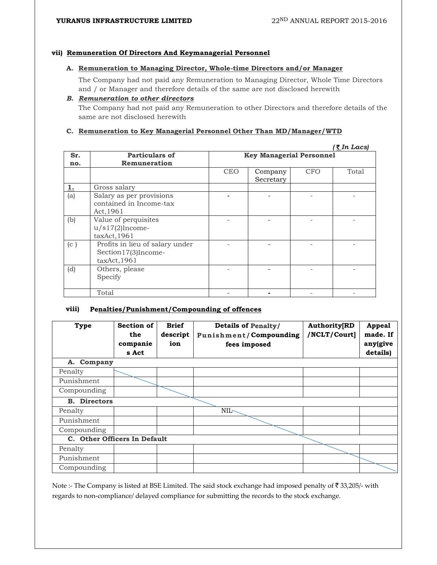#### **vii) Remuneration Of Directors And Keymanagerial Personnel**

#### **A. Remuneration to Managing Director, Whole-time Directors and/or Manager**

The Company had not paid any Remuneration to Managing Director, Whole Time Directors and / or Manager and therefore details of the same are not disclosed herewith

#### *B. Remuneration to other directors*

The Company had not paid any Remuneration to other Directors and therefore details of the same are not disclosed herewith

#### **C. Remuneration to Key Managerial Personnel Other Than MD/Manager/WTD**

|     |                                                                       |            |                                 |            | <u>(र</u> In Lacs) |
|-----|-----------------------------------------------------------------------|------------|---------------------------------|------------|--------------------|
| Sr. | Particulars of                                                        |            | <b>Key Managerial Personnel</b> |            |                    |
| no. | Remuneration                                                          |            |                                 |            |                    |
|     |                                                                       | <b>CEO</b> | Company<br>Secretary            | <b>CFO</b> | Total              |
| 1.  | Gross salary                                                          |            |                                 |            |                    |
| (a) | Salary as per provisions<br>contained in Income-tax<br>Act, 1961      |            |                                 |            |                    |
| (b) | Value of perquisites<br>$u/s17(2)$ Income-<br>taxAct,1961             |            |                                 |            |                    |
| (c) | Profits in lieu of salary under<br>Section17(3)Income-<br>taxAct,1961 |            |                                 |            |                    |
| (d) | Others, please<br>Specify                                             |            |                                 |            |                    |
|     | Total                                                                 |            |                                 |            |                    |

#### **viii) Penalties/Punishment/Compounding of offences**

| <b>Type</b>                  | Section of<br>the<br>companie<br>s Act | <b>Brief</b><br>descript<br>ion | <b>Details of Penalty/</b><br><b>Punishment/Compounding</b><br>fees imposed | <b>Authority[RD</b><br>/NCLT/Court] | <b>Appeal</b><br>made. If<br>any(give<br>details) |
|------------------------------|----------------------------------------|---------------------------------|-----------------------------------------------------------------------------|-------------------------------------|---------------------------------------------------|
| Company<br>А.                |                                        |                                 |                                                                             |                                     |                                                   |
| Penalty                      |                                        |                                 |                                                                             |                                     |                                                   |
| Punishment                   |                                        |                                 |                                                                             |                                     |                                                   |
| Compounding                  |                                        |                                 |                                                                             |                                     |                                                   |
| <b>B.</b> Directors          |                                        |                                 |                                                                             |                                     |                                                   |
| Penalty                      |                                        |                                 | <b>NIL-</b>                                                                 |                                     |                                                   |
| Punishment                   |                                        |                                 |                                                                             |                                     |                                                   |
| Compounding                  |                                        |                                 |                                                                             |                                     |                                                   |
| C. Other Officers In Default |                                        |                                 |                                                                             |                                     |                                                   |
| Penalty                      |                                        |                                 |                                                                             |                                     |                                                   |
| Punishment                   |                                        |                                 |                                                                             |                                     |                                                   |
| Compounding                  |                                        |                                 |                                                                             |                                     |                                                   |

Note :- The Company is listed at BSE Limited. The said stock exchange had imposed penalty of ₹33,205/- with regards to non‐compliance/ delayed compliance for submitting the records to the stock exchange.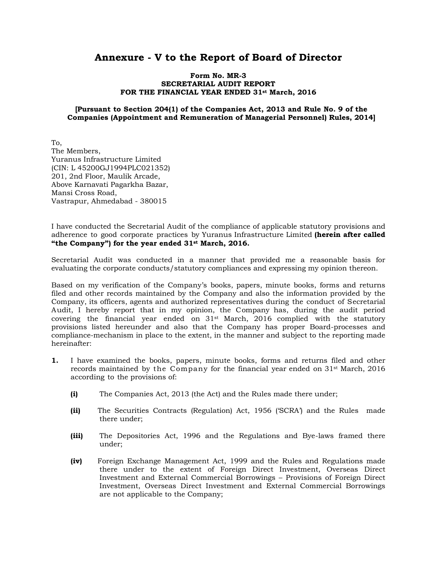## **Annexure - V to the Report of Board of Director**

#### **Form No. MR-3 SECRETARIAL AUDIT REPORT FOR THE FINANCIAL YEAR ENDED 31st March, 2016**

#### **[Pursuant to Section 204(1) of the Companies Act, 2013 and Rule No. 9 of the Companies (Appointment and Remuneration of Managerial Personnel) Rules, 2014]**

To, The Members, Yuranus Infrastructure Limited (CIN: L 45200GJ1994PLC021352) 201, 2nd Floor, Maulik Arcade, Above Karnavati Pagarkha Bazar, Mansi Cross Road, Vastrapur, Ahmedabad - 380015

I have conducted the Secretarial Audit of the compliance of applicable statutory provisions and adherence to good corporate practices by Yuranus Infrastructure Limited **(herein after called "the Company") for the year ended 31st March, 2016.**

Secretarial Audit was conducted in a manner that provided me a reasonable basis for evaluating the corporate conducts/statutory compliances and expressing my opinion thereon.

Based on my verification of the Company's books, papers, minute books, forms and returns filed and other records maintained by the Company and also the information provided by the Company, its officers, agents and authorized representatives during the conduct of Secretarial Audit, I hereby report that in my opinion, the Company has, during the audit period covering the financial year ended on  $31<sup>st</sup>$  March, 2016 complied with the statutory provisions listed hereunder and also that the Company has proper Board-processes and compliance-mechanism in place to the extent, in the manner and subject to the reporting made hereinafter:

- **1.** I have examined the books, papers, minute books, forms and returns filed and other records maintained by the Company for the financial year ended on 31st March, 2016 according to the provisions of:
	- **(i)** The Companies Act, 2013 (the Act) and the Rules made there under;
	- **(ii)** The Securities Contracts (Regulation) Act, 1956 ('SCRA') and the Rules made there under;
	- **(iii)** The Depositories Act, 1996 and the Regulations and Bye-laws framed there under;
	- **(iv)** Foreign Exchange Management Act, 1999 and the Rules and Regulations made there under to the extent of Foreign Direct Investment, Overseas Direct Investment and External Commercial Borrowings – Provisions of Foreign Direct Investment, Overseas Direct Investment and External Commercial Borrowings are not applicable to the Company;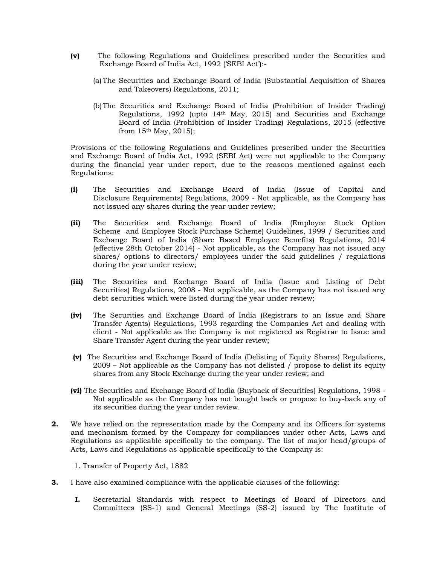- **(v)** The following Regulations and Guidelines prescribed under the Securities and Exchange Board of India Act, 1992 ('SEBI Act'):-
	- (a) The Securities and Exchange Board of India (Substantial Acquisition of Shares and Takeovers) Regulations, 2011;
	- (b)The Securities and Exchange Board of India (Prohibition of Insider Trading) Regulations, 1992 (upto 14th May, 2015) and Securities and Exchange Board of India (Prohibition of Insider Trading) Regulations, 2015 (effective from  $15<sup>th</sup>$  May, 2015);

 Provisions of the following Regulations and Guidelines prescribed under the Securities and Exchange Board of India Act, 1992 (SEBI Act) were not applicable to the Company during the financial year under report, due to the reasons mentioned against each Regulations:

- **(i)** The Securities and Exchange Board of India (Issue of Capital and Disclosure Requirements) Regulations, 2009 - Not applicable, as the Company has not issued any shares during the year under review;
- **(ii)** The Securities and Exchange Board of India (Employee Stock Option Scheme and Employee Stock Purchase Scheme) Guidelines, 1999 / Securities and Exchange Board of India (Share Based Employee Benefits) Regulations, 2014 (effective 28th October 2014) - Not applicable, as the Company has not issued any shares/ options to directors/ employees under the said guidelines / regulations during the year under review;
- **(iii)** The Securities and Exchange Board of India (Issue and Listing of Debt Securities) Regulations, 2008 - Not applicable, as the Company has not issued any debt securities which were listed during the year under review;
- **(iv)** The Securities and Exchange Board of India (Registrars to an Issue and Share Transfer Agents) Regulations, 1993 regarding the Companies Act and dealing with client - Not applicable as the Company is not registered as Registrar to Issue and Share Transfer Agent during the year under review;
- **(v)** The Securities and Exchange Board of India (Delisting of Equity Shares) Regulations, 2009 – Not applicable as the Company has not delisted / propose to delist its equity shares from any Stock Exchange during the year under review; and
- **(vi)** The Securities and Exchange Board of India (Buyback of Securities) Regulations, 1998 Not applicable as the Company has not bought back or propose to buy-back any of its securities during the year under review.
- **2.** We have relied on the representation made by the Company and its Officers for systems and mechanism formed by the Company for compliances under other Acts, Laws and Regulations as applicable specifically to the company. The list of major head/groups of Acts, Laws and Regulations as applicable specifically to the Company is:

1. Transfer of Property Act, 1882

- **3.** I have also examined compliance with the applicable clauses of the following:
	- **I.** Secretarial Standards with respect to Meetings of Board of Directors and Committees (SS-1) and General Meetings (SS-2) issued by The Institute of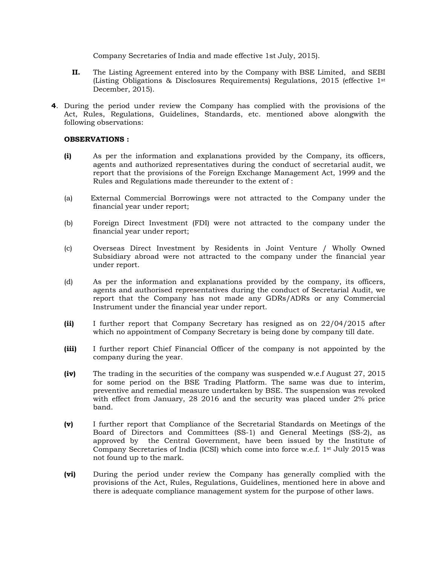Company Secretaries of India and made effective 1st July, 2015).

- **II.** The Listing Agreement entered into by the Company with BSE Limited, and SEBI (Listing Obligations & Disclosures Requirements) Regulations, 2015 (effective 1st December, 2015).
- **4**. During the period under review the Company has complied with the provisions of the Act, Rules, Regulations, Guidelines, Standards, etc. mentioned above alongwith the following observations:

#### **OBSERVATIONS :**

- **(i)** As per the information and explanations provided by the Company, its officers, agents and authorized representatives during the conduct of secretarial audit, we report that the provisions of the Foreign Exchange Management Act, 1999 and the Rules and Regulations made thereunder to the extent of :
- (a) External Commercial Borrowings were not attracted to the Company under the financial year under report;
- (b) Foreign Direct Investment (FDI) were not attracted to the company under the financial year under report;
- (c) Overseas Direct Investment by Residents in Joint Venture / Wholly Owned Subsidiary abroad were not attracted to the company under the financial year under report.
- (d) As per the information and explanations provided by the company, its officers, agents and authorised representatives during the conduct of Secretarial Audit, we report that the Company has not made any GDRs/ADRs or any Commercial Instrument under the financial year under report.
- **(ii)** I further report that Company Secretary has resigned as on 22/04/2015 after which no appointment of Company Secretary is being done by company till date.
- **(iii)** I further report Chief Financial Officer of the company is not appointed by the company during the year.
- **(iv)** The trading in the securities of the company was suspended w.e.f August 27, 2015 for some period on the BSE Trading Platform. The same was due to interim, preventive and remedial measure undertaken by BSE. The suspension was revoked with effect from January, 28 2016 and the security was placed under 2% price band.
- **(v)** I further report that Compliance of the Secretarial Standards on Meetings of the Board of Directors and Committees (SS-1) and General Meetings (SS-2), as approved by the Central Government, have been issued by the Institute of Company Secretaries of India (ICSI) which come into force w.e.f. 1st July 2015 was not found up to the mark.
- **(vi)** During the period under review the Company has generally complied with the provisions of the Act, Rules, Regulations, Guidelines, mentioned here in above and there is adequate compliance management system for the purpose of other laws.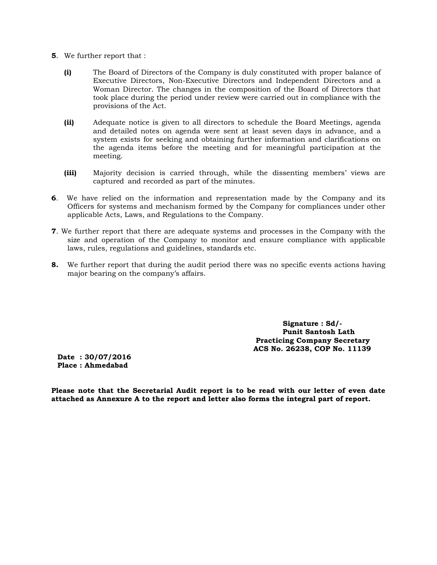- **5**. We further report that :
	- **(i)** The Board of Directors of the Company is duly constituted with proper balance of Executive Directors, Non-Executive Directors and Independent Directors and a Woman Director. The changes in the composition of the Board of Directors that took place during the period under review were carried out in compliance with the provisions of the Act.
	- **(ii)** Adequate notice is given to all directors to schedule the Board Meetings, agenda and detailed notes on agenda were sent at least seven days in advance, and a system exists for seeking and obtaining further information and clarifications on the agenda items before the meeting and for meaningful participation at the meeting.
	- **(iii)** Majority decision is carried through, while the dissenting members' views are captured and recorded as part of the minutes.
- **6**. We have relied on the information and representation made by the Company and its Officers for systems and mechanism formed by the Company for compliances under other applicable Acts, Laws, and Regulations to the Company.
- **7**. We further report that there are adequate systems and processes in the Company with the size and operation of the Company to monitor and ensure compliance with applicable laws, rules, regulations and guidelines, standards etc.
- **8.** We further report that during the audit period there was no specific events actions having major bearing on the company's affairs.

 **Signature : Sd/- Punit Santosh Lath Practicing Company Secretary ACS No. 26238, COP No. 11139** 

**Date : 30/07/2016 Place : Ahmedabad** 

**Please note that the Secretarial Audit report is to be read with our letter of even date attached as Annexure A to the report and letter also forms the integral part of report.**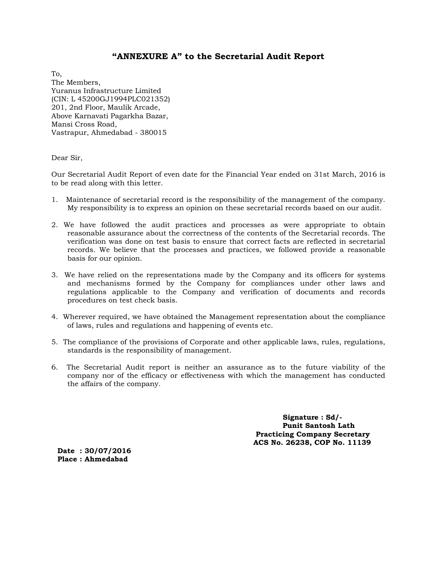### **"ANNEXURE A" to the Secretarial Audit Report**

To, The Members, Yuranus Infrastructure Limited (CIN: L 45200GJ1994PLC021352) 201, 2nd Floor, Maulik Arcade, Above Karnavati Pagarkha Bazar, Mansi Cross Road, Vastrapur, Ahmedabad - 380015

Dear Sir,

Our Secretarial Audit Report of even date for the Financial Year ended on 31st March, 2016 is to be read along with this letter.

- 1. Maintenance of secretarial record is the responsibility of the management of the company. My responsibility is to express an opinion on these secretarial records based on our audit.
- 2. We have followed the audit practices and processes as were appropriate to obtain reasonable assurance about the correctness of the contents of the Secretarial records. The verification was done on test basis to ensure that correct facts are reflected in secretarial records. We believe that the processes and practices, we followed provide a reasonable basis for our opinion.
- 3. We have relied on the representations made by the Company and its officers for systems and mechanisms formed by the Company for compliances under other laws and regulations applicable to the Company and verification of documents and records procedures on test check basis.
- 4. Wherever required, we have obtained the Management representation about the compliance of laws, rules and regulations and happening of events etc.
- 5. The compliance of the provisions of Corporate and other applicable laws, rules, regulations, standards is the responsibility of management.
- 6. The Secretarial Audit report is neither an assurance as to the future viability of the company nor of the efficacy or effectiveness with which the management has conducted the affairs of the company.

 **Signature : Sd/- Punit Santosh Lath Practicing Company Secretary ACS No. 26238, COP No. 11139** 

**Date : 30/07/2016 Place : Ahmedabad**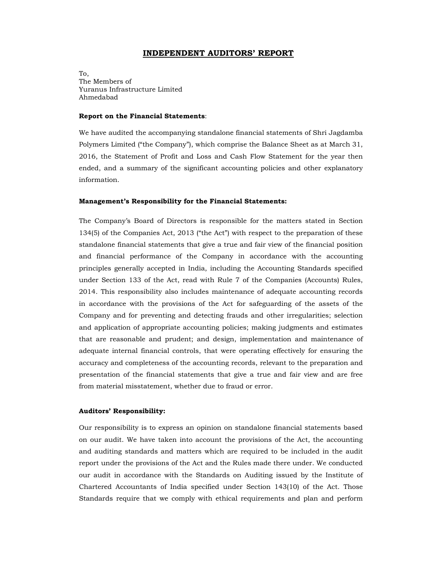#### **INDEPENDENT AUDITORS' REPORT**

To, The Members of Yuranus Infrastructure Limited Ahmedabad

#### **Report on the Financial Statements**:

We have audited the accompanying standalone financial statements of Shri Jagdamba Polymers Limited ("the Company"), which comprise the Balance Sheet as at March 31, 2016, the Statement of Profit and Loss and Cash Flow Statement for the year then ended, and a summary of the significant accounting policies and other explanatory information.

#### **Management's Responsibility for the Financial Statements:**

The Company's Board of Directors is responsible for the matters stated in Section 134(5) of the Companies Act, 2013 ("the Act") with respect to the preparation of these standalone financial statements that give a true and fair view of the financial position and financial performance of the Company in accordance with the accounting principles generally accepted in India, including the Accounting Standards specified under Section 133 of the Act, read with Rule 7 of the Companies (Accounts) Rules, 2014. This responsibility also includes maintenance of adequate accounting records in accordance with the provisions of the Act for safeguarding of the assets of the Company and for preventing and detecting frauds and other irregularities; selection and application of appropriate accounting policies; making judgments and estimates that are reasonable and prudent; and design, implementation and maintenance of adequate internal financial controls, that were operating effectively for ensuring the accuracy and completeness of the accounting records, relevant to the preparation and presentation of the financial statements that give a true and fair view and are free from material misstatement, whether due to fraud or error.

#### **Auditors' Responsibility:**

Our responsibility is to express an opinion on standalone financial statements based on our audit. We have taken into account the provisions of the Act, the accounting and auditing standards and matters which are required to be included in the audit report under the provisions of the Act and the Rules made there under. We conducted our audit in accordance with the Standards on Auditing issued by the Institute of Chartered Accountants of India specified under Section 143(10) of the Act. Those Standards require that we comply with ethical requirements and plan and perform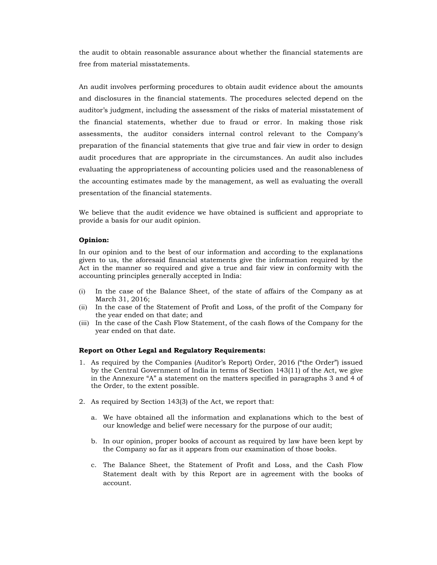the audit to obtain reasonable assurance about whether the financial statements are free from material misstatements.

An audit involves performing procedures to obtain audit evidence about the amounts and disclosures in the financial statements. The procedures selected depend on the auditor's judgment, including the assessment of the risks of material misstatement of the financial statements, whether due to fraud or error. In making those risk assessments, the auditor considers internal control relevant to the Company's preparation of the financial statements that give true and fair view in order to design audit procedures that are appropriate in the circumstances. An audit also includes evaluating the appropriateness of accounting policies used and the reasonableness of the accounting estimates made by the management, as well as evaluating the overall presentation of the financial statements.

We believe that the audit evidence we have obtained is sufficient and appropriate to provide a basis for our audit opinion.

#### **Opinion:**

In our opinion and to the best of our information and according to the explanations given to us, the aforesaid financial statements give the information required by the Act in the manner so required and give a true and fair view in conformity with the accounting principles generally accepted in India:

- (i) In the case of the Balance Sheet, of the state of affairs of the Company as at March 31, 2016;
- (ii) In the case of the Statement of Profit and Loss, of the profit of the Company for the year ended on that date; and
- (iii) In the case of the Cash Flow Statement, of the cash flows of the Company for the year ended on that date.

#### **Report on Other Legal and Regulatory Requirements:**

- 1. As required by the Companies (Auditor's Report) Order, 2016 ("the Order") issued by the Central Government of India in terms of Section 143(11) of the Act, we give in the Annexure "A" a statement on the matters specified in paragraphs 3 and 4 of the Order, to the extent possible.
- 2. As required by Section 143(3) of the Act, we report that:
	- a. We have obtained all the information and explanations which to the best of our knowledge and belief were necessary for the purpose of our audit;
	- b. In our opinion, proper books of account as required by law have been kept by the Company so far as it appears from our examination of those books.
	- c. The Balance Sheet, the Statement of Profit and Loss, and the Cash Flow Statement dealt with by this Report are in agreement with the books of account.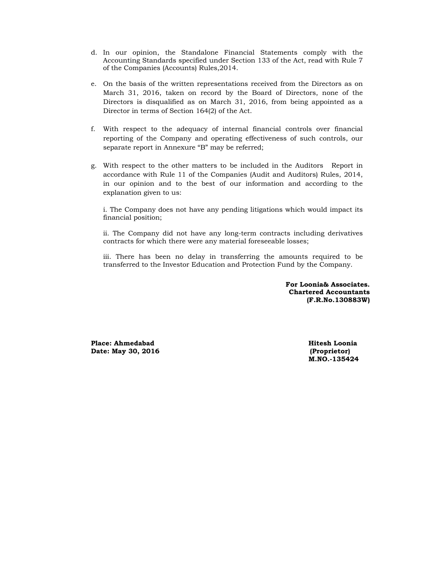- d. In our opinion, the Standalone Financial Statements comply with the Accounting Standards specified under Section 133 of the Act, read with Rule 7 of the Companies (Accounts) Rules,2014.
- e. On the basis of the written representations received from the Directors as on March 31, 2016, taken on record by the Board of Directors, none of the Directors is disqualified as on March 31, 2016, from being appointed as a Director in terms of Section 164(2) of the Act.
- f. With respect to the adequacy of internal financial controls over financial reporting of the Company and operating effectiveness of such controls, our separate report in Annexure "B" may be referred;
- g. With respect to the other matters to be included in the Auditors Report in accordance with Rule 11 of the Companies (Audit and Auditors) Rules, 2014, in our opinion and to the best of our information and according to the explanation given to us:

i. The Company does not have any pending litigations which would impact its financial position;

ii. The Company did not have any long-term contracts including derivatives contracts for which there were any material foreseeable losses;

iii. There has been no delay in transferring the amounts required to be transferred to the Investor Education and Protection Fund by the Company.

> **For Loonia& Associates. Chartered Accountants (F.R.No.130883W)**

**Place: Ahmedabad Hitesh Loonia Date: May 30, 2016 (Proprietor)** 

**M.NO.-135424**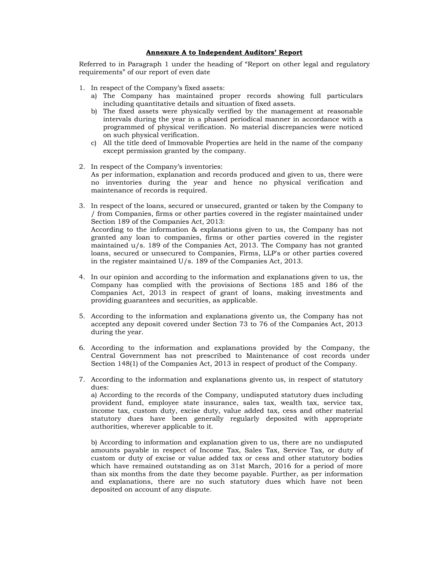#### **Annexure A to Independent Auditors' Report**

Referred to in Paragraph 1 under the heading of "Report on other legal and regulatory requirements" of our report of even date

- 1. In respect of the Company's fixed assets:
	- a) The Company has maintained proper records showing full particulars including quantitative details and situation of fixed assets.
	- b) The fixed assets were physically verified by the management at reasonable intervals during the year in a phased periodical manner in accordance with a programmed of physical verification. No material discrepancies were noticed on such physical verification.
	- c) All the title deed of Immovable Properties are held in the name of the company except permission granted by the company.
- 2. In respect of the Company's inventories: As per information, explanation and records produced and given to us, there were no inventories during the year and hence no physical verification and maintenance of records is required.
- 3. In respect of the loans, secured or unsecured, granted or taken by the Company to / from Companies, firms or other parties covered in the register maintained under Section 189 of the Companies Act, 2013: According to the information & explanations given to us, the Company has not granted any loan to companies, firms or other parties covered in the register maintained u/s. 189 of the Companies Act, 2013. The Company has not granted loans, secured or unsecured to Companies, Firms, LLP's or other parties covered in the register maintained U/s. 189 of the Companies Act, 2013.
- 4. In our opinion and according to the information and explanations given to us, the Company has complied with the provisions of Sections 185 and 186 of the Companies Act, 2013 in respect of grant of loans, making investments and providing guarantees and securities, as applicable.
- 5. According to the information and explanations givento us, the Company has not accepted any deposit covered under Section 73 to 76 of the Companies Act, 2013 during the year.
- 6. According to the information and explanations provided by the Company, the Central Government has not prescribed to Maintenance of cost records under Section 148(1) of the Companies Act, 2013 in respect of product of the Company.
- 7. According to the information and explanations givento us, in respect of statutory dues: a) According to the records of the Company, undisputed statutory dues including provident fund, employee state insurance, sales tax, wealth tax, service tax, income tax, custom duty, excise duty, value added tax, cess and other material statutory dues have been generally regularly deposited with appropriate authorities, wherever applicable to it.

b) According to information and explanation given to us, there are no undisputed amounts payable in respect of Income Tax, Sales Tax, Service Tax, or duty of custom or duty of excise or value added tax or cess and other statutory bodies which have remained outstanding as on 31st March, 2016 for a period of more than six months from the date they become payable. Further, as per information and explanations, there are no such statutory dues which have not been deposited on account of any dispute.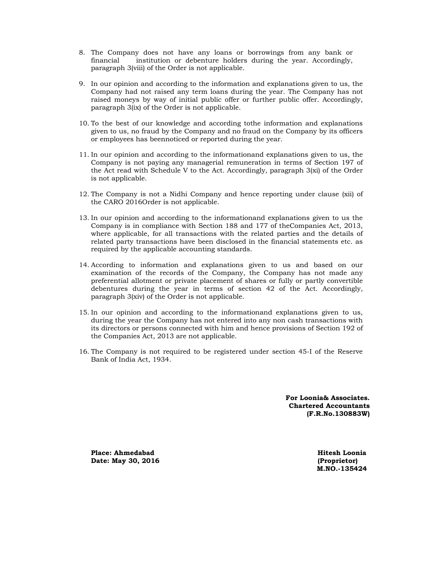- 8. The Company does not have any loans or borrowings from any bank or financial institution or debenture holders during the year. Accordingly, paragraph 3(viii) of the Order is not applicable.
- 9. In our opinion and according to the information and explanations given to us, the Company had not raised any term loans during the year. The Company has not raised moneys by way of initial public offer or further public offer. Accordingly, paragraph 3(ix) of the Order is not applicable.
- 10. To the best of our knowledge and according tothe information and explanations given to us, no fraud by the Company and no fraud on the Company by its officers or employees has beennoticed or reported during the year.
- 11. In our opinion and according to the informationand explanations given to us, the Company is not paying any managerial remuneration in terms of Section 197 of the Act read with Schedule V to the Act. Accordingly, paragraph 3(xi) of the Order is not applicable.
- 12. The Company is not a Nidhi Company and hence reporting under clause (xii) of the CARO 2016Order is not applicable.
- 13. In our opinion and according to the informationand explanations given to us the Company is in compliance with Section 188 and 177 of theCompanies Act, 2013, where applicable, for all transactions with the related parties and the details of related party transactions have been disclosed in the financial statements etc. as required by the applicable accounting standards.
- 14. According to information and explanations given to us and based on our examination of the records of the Company, the Company has not made any preferential allotment or private placement of shares or fully or partly convertible debentures during the year in terms of section 42 of the Act. Accordingly, paragraph 3(xiv) of the Order is not applicable.
- 15. In our opinion and according to the informationand explanations given to us, during the year the Company has not entered into any non cash transactions with its directors or persons connected with him and hence provisions of Section 192 of the Companies Act, 2013 are not applicable.
- 16. The Company is not required to be registered under section 45-I of the Reserve Bank of India Act, 1934.

**For Loonia& Associates. Chartered Accountants (F.R.No.130883W)** 

**Place: Ahmedabad and Hitesh Loonia and Hitesh Loonia and Hitesh Loonia and Hitesh Loonia and Hitesh Loonia Date: May 30, 2016 (Proprietor)** 

 **M.NO.-135424**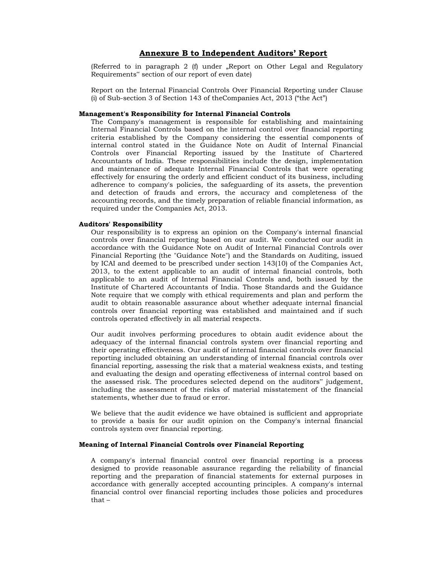#### **Annexure B to Independent Auditors' Report**

(Referred to in paragraph 2 (f) under "Report on Other Legal and Regulatory Requirements" section of our report of even date)

Report on the Internal Financial Controls Over Financial Reporting under Clause (i) of Sub-section 3 of Section 143 of theCompanies Act, 2013 ("the Act")

#### **Management's Responsibility for Internal Financial Controls**

The Company's management is responsible for establishing and maintaining Internal Financial Controls based on the internal control over financial reporting criteria established by the Company considering the essential components of internal control stated in the Guidance Note on Audit of Internal Financial Controls over Financial Reporting issued by the Institute of Chartered Accountants of India. These responsibilities include the design, implementation and maintenance of adequate Internal Financial Controls that were operating effectively for ensuring the orderly and efficient conduct of its business, including adherence to company's policies, the safeguarding of its assets, the prevention and detection of frauds and errors, the accuracy and completeness of the accounting records, and the timely preparation of reliable financial information, as required under the Companies Act, 2013.

#### **Auditors' Responsibility**

Our responsibility is to express an opinion on the Company's internal financial controls over financial reporting based on our audit. We conducted our audit in accordance with the Guidance Note on Audit of Internal Financial Controls over Financial Reporting (the "Guidance Note") and the Standards on Auditing, issued by ICAI and deemed to be prescribed under section 143(10) of the Companies Act, 2013, to the extent applicable to an audit of internal financial controls, both applicable to an audit of Internal Financial Controls and, both issued by the Institute of Chartered Accountants of India. Those Standards and the Guidance Note require that we comply with ethical requirements and plan and perform the audit to obtain reasonable assurance about whether adequate internal financial controls over financial reporting was established and maintained and if such controls operated effectively in all material respects.

Our audit involves performing procedures to obtain audit evidence about the adequacy of the internal financial controls system over financial reporting and their operating effectiveness. Our audit of internal financial controls over financial reporting included obtaining an understanding of internal financial controls over financial reporting, assessing the risk that a material weakness exists, and testing and evaluating the design and operating effectiveness of internal control based on the assessed risk. The procedures selected depend on the auditors" judgement, including the assessment of the risks of material misstatement of the financial statements, whether due to fraud or error.

We believe that the audit evidence we have obtained is sufficient and appropriate to provide a basis for our audit opinion on the Company's internal financial controls system over financial reporting.

#### **Meaning of Internal Financial Controls over Financial Reporting**

A company's internal financial control over financial reporting is a process designed to provide reasonable assurance regarding the reliability of financial reporting and the preparation of financial statements for external purposes in accordance with generally accepted accounting principles. A company's internal financial control over financial reporting includes those policies and procedures that –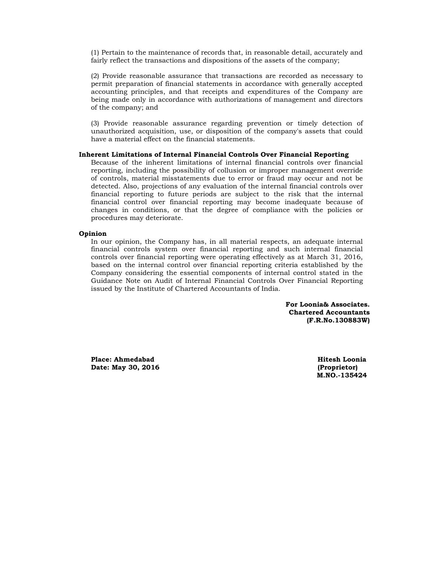(1) Pertain to the maintenance of records that, in reasonable detail, accurately and fairly reflect the transactions and dispositions of the assets of the company;

(2) Provide reasonable assurance that transactions are recorded as necessary to permit preparation of financial statements in accordance with generally accepted accounting principles, and that receipts and expenditures of the Company are being made only in accordance with authorizations of management and directors of the company; and

(3) Provide reasonable assurance regarding prevention or timely detection of unauthorized acquisition, use, or disposition of the company's assets that could have a material effect on the financial statements.

#### **Inherent Limitations of Internal Financial Controls Over Financial Reporting**

Because of the inherent limitations of internal financial controls over financial reporting, including the possibility of collusion or improper management override of controls, material misstatements due to error or fraud may occur and not be detected. Also, projections of any evaluation of the internal financial controls over financial reporting to future periods are subject to the risk that the internal financial control over financial reporting may become inadequate because of changes in conditions, or that the degree of compliance with the policies or procedures may deteriorate.

#### **Opinion**

In our opinion, the Company has, in all material respects, an adequate internal financial controls system over financial reporting and such internal financial controls over financial reporting were operating effectively as at March 31, 2016, based on the internal control over financial reporting criteria established by the Company considering the essential components of internal control stated in the Guidance Note on Audit of Internal Financial Controls Over Financial Reporting issued by the Institute of Chartered Accountants of India.

> **For Loonia& Associates. Chartered Accountants (F.R.No.130883W)**

**Place: Ahmedabad Hitesh Loonia Date: May 30, 2016 (Proprietor)** 

 **M.NO.-135424**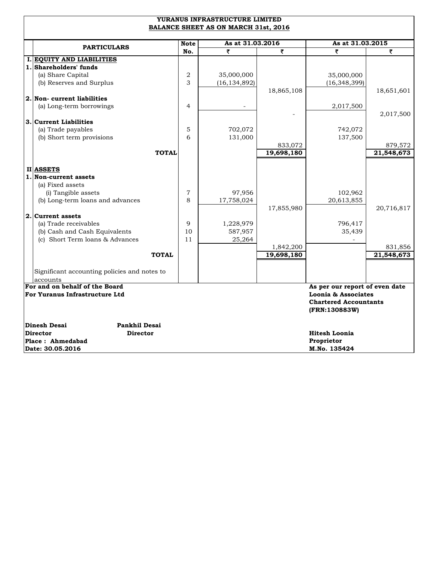| YURANUS INFRASTRUCTURE LIMITED<br><b>BALANCE SHEET AS ON MARCH 31st, 2016</b> |                |                  |            |                                |            |  |
|-------------------------------------------------------------------------------|----------------|------------------|------------|--------------------------------|------------|--|
|                                                                               | <b>Note</b>    | As at 31.03.2016 |            | As at 31.03.2015               |            |  |
| <b>PARTICULARS</b>                                                            | No.            | ₹                | ₹          | ₹                              | ₹          |  |
| I. EQUITY AND LIABILITIES                                                     |                |                  |            |                                |            |  |
| 1. Shareholders' funds                                                        |                |                  |            |                                |            |  |
| (a) Share Capital                                                             | $\overline{2}$ | 35,000,000       |            | 35,000,000                     |            |  |
| (b) Reserves and Surplus                                                      | 3              | (16, 134, 892)   |            | (16, 348, 399)                 |            |  |
|                                                                               |                |                  | 18,865,108 |                                | 18,651,601 |  |
| 2. Non- current liabilities                                                   |                |                  |            |                                |            |  |
| (a) Long-term borrowings                                                      | $\overline{4}$ |                  |            | 2,017,500                      |            |  |
|                                                                               |                |                  |            |                                | 2,017,500  |  |
| 3. Current Liabilities                                                        |                |                  |            |                                |            |  |
| (a) Trade payables                                                            | 5<br>6         | 702,072          |            | 742,072                        |            |  |
| (b) Short term provisions                                                     |                | 131,000          | 833,072    | 137,500                        | 879,572    |  |
| <b>TOTAL</b>                                                                  |                |                  | 19,698,180 |                                | 21,548,673 |  |
|                                                                               |                |                  |            |                                |            |  |
| II ASSETS                                                                     |                |                  |            |                                |            |  |
| 1. Non-current assets                                                         |                |                  |            |                                |            |  |
| (a) Fixed assets                                                              |                |                  |            |                                |            |  |
| (i) Tangible assets                                                           | $\overline{7}$ | 97,956           |            | 102,962                        |            |  |
| (b) Long-term loans and advances                                              | 8              | 17,758,024       |            | 20,613,855                     |            |  |
|                                                                               |                |                  | 17,855,980 |                                | 20,716,817 |  |
| 2. Current assets                                                             |                |                  |            |                                |            |  |
| (a) Trade receivables                                                         | 9              | 1,228,979        |            | 796,417                        |            |  |
| (b) Cash and Cash Equivalents                                                 | 10             | 587,957          |            | 35,439                         |            |  |
| (c) Short Term loans & Advances                                               | 11             | 25,264           |            |                                |            |  |
|                                                                               |                |                  | 1,842,200  |                                | 831,856    |  |
| <b>TOTAL</b>                                                                  |                |                  | 19,698,180 |                                | 21,548,673 |  |
|                                                                               |                |                  |            |                                |            |  |
| Significant accounting policies and notes to                                  |                |                  |            |                                |            |  |
| accounts                                                                      |                |                  |            |                                |            |  |
| For and on behalf of the Board                                                |                |                  |            | As per our report of even date |            |  |
| For Yuranus Infrastructure Ltd<br>Loonia & Associates                         |                |                  |            |                                |            |  |
|                                                                               |                |                  |            | <b>Chartered Accountants</b>   |            |  |
|                                                                               |                |                  |            | (FRN:130883W)                  |            |  |
| <b>Dinesh Desai</b><br><b>Pankhil Desai</b>                                   |                |                  |            |                                |            |  |
| Director<br><b>Director</b>                                                   |                |                  |            | <b>Hitesh Loonia</b>           |            |  |
| Place: Ahmedabad                                                              |                |                  |            | Proprietor                     |            |  |
| Date: 30.05.2016                                                              |                |                  |            | M.No. 135424                   |            |  |
|                                                                               |                |                  |            |                                |            |  |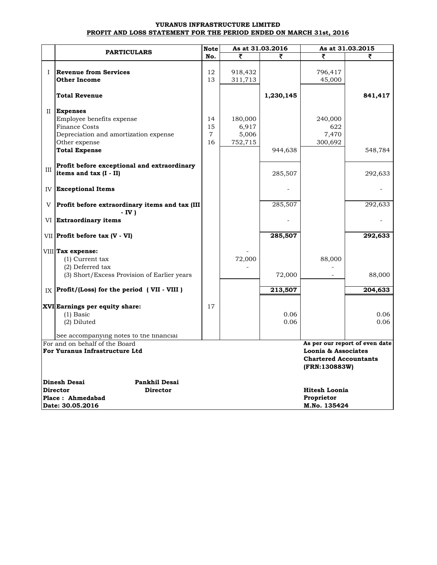#### **YURANUS INFRASTRUCTURE LIMITED PROFIT AND LOSS STATEMENT FOR THE PERIOD ENDED ON MARCH 31st, 2016**

|              | <b>Note</b>                                                   |                |         | As at 31.03.2016 | As at 31.03.2015                              |                                |  |
|--------------|---------------------------------------------------------------|----------------|---------|------------------|-----------------------------------------------|--------------------------------|--|
|              | <b>PARTICULARS</b>                                            | No.            | ₹       |                  |                                               |                                |  |
|              |                                                               |                |         |                  |                                               |                                |  |
| $\mathbf{I}$ | <b>Revenue from Services</b>                                  | 12             | 918,432 |                  | 796,417                                       |                                |  |
|              | <b>Other Income</b>                                           | 13             | 311,713 |                  | 45,000                                        |                                |  |
|              | <b>Total Revenue</b>                                          |                |         | 1,230,145        |                                               | 841,417                        |  |
|              | II Expenses                                                   |                |         |                  |                                               |                                |  |
|              | Employee benefits expense                                     | 14             | 180,000 |                  | 240,000                                       |                                |  |
|              | <b>Finance Costs</b>                                          | 15             | 6,917   |                  | 622                                           |                                |  |
|              | Depreciation and amortization expense                         | $\overline{7}$ | 5,006   |                  | 7,470                                         |                                |  |
|              | Other expense                                                 | 16             | 752,715 |                  | 300,692                                       |                                |  |
|              | <b>Total Expense</b>                                          |                |         | 944,638          |                                               | 548,784                        |  |
|              | Profit before exceptional and extraordinary                   |                |         |                  |                                               |                                |  |
| III          | items and tax (I - II)                                        |                |         | 285,507          |                                               | 292,633                        |  |
|              | <b>IV Exceptional Items</b>                                   |                |         |                  |                                               |                                |  |
|              | $V$ Profit before extraordinary items and tax (III)<br>- IV ) |                |         | 285,507          |                                               | 292,633                        |  |
|              | VI Extraordinary items                                        |                |         |                  |                                               |                                |  |
|              | $VII$ Profit before tax (V - VI)                              |                |         | 285,507          |                                               | 292,633                        |  |
|              | VIII Tax expense:                                             |                |         |                  |                                               |                                |  |
|              | $(1)$ Current tax                                             |                | 72,000  |                  | 88,000                                        |                                |  |
|              | $(2)$ Deferred tax                                            |                |         |                  |                                               |                                |  |
|              | (3) Short/Excess Provision of Earlier years                   |                |         | 72,000           |                                               | 88,000                         |  |
|              | $_{\rm IX}$ Profit/(Loss) for the period (VII - VIII)         |                |         | 213,507          |                                               | 204,633                        |  |
|              | XVI Earnings per equity share:                                | 17             |         |                  |                                               |                                |  |
|              | $(1)$ Basic                                                   |                |         | 0.06             |                                               | 0.06                           |  |
|              | (2) Diluted                                                   |                |         | 0.06             |                                               | 0.06                           |  |
|              | See accompanying notes to the financial                       |                |         |                  |                                               |                                |  |
|              | For and on behalf of the Board                                |                |         |                  |                                               | As per our report of even date |  |
|              | For Yuranus Infrastructure Ltd                                |                |         |                  | Loonia & Associates                           |                                |  |
|              |                                                               |                |         |                  | <b>Chartered Accountants</b><br>(FRN:130883W) |                                |  |
|              | <b>Dinesh Desai</b><br>Pankhil Desai                          |                |         |                  |                                               |                                |  |
|              | <b>Director</b><br><b>Director</b>                            |                |         |                  | <b>Hitesh Loonia</b>                          |                                |  |
|              | Place: Ahmedabad                                              |                |         |                  | Proprietor                                    |                                |  |
|              | Date: 30.05.2016                                              |                |         |                  | M.No. 135424                                  |                                |  |
|              |                                                               |                |         |                  |                                               |                                |  |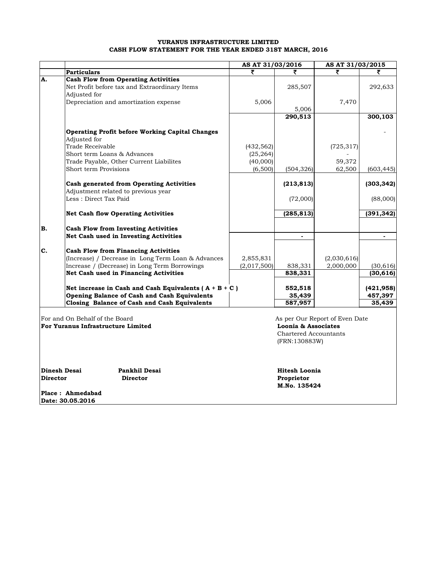#### **YURANUS INFRASTRUCTURE LIMITED CASH FLOW STATEMENT FOR THE YEAR ENDED 31ST MARCH, 2016**

|              |                                                                                     | AS AT 31/03/2016 |                              |                                | AS AT 31/03/2015 |  |
|--------------|-------------------------------------------------------------------------------------|------------------|------------------------------|--------------------------------|------------------|--|
|              | <b>Particulars</b>                                                                  | ₹                | ₹                            | ₹                              | ₹                |  |
| A.           | <b>Cash Flow from Operating Activities</b>                                          |                  |                              |                                |                  |  |
|              | Net Profit before tax and Extraordinary Items                                       |                  | 285,507                      |                                | 292,633          |  |
|              | Adjusted for                                                                        |                  |                              |                                |                  |  |
|              | Depreciation and amortization expense                                               | 5,006            |                              | 7,470                          |                  |  |
|              |                                                                                     |                  | 5,006                        |                                |                  |  |
|              |                                                                                     |                  | 290,513                      |                                | 300, 103         |  |
|              |                                                                                     |                  |                              |                                |                  |  |
|              | <b>Operating Profit before Working Capital Changes</b>                              |                  |                              |                                |                  |  |
|              | Adjusted for                                                                        |                  |                              |                                |                  |  |
|              | Trade Receivable                                                                    | (432, 562)       |                              | (725, 317)                     |                  |  |
|              | Short term Loans & Advances                                                         | (25, 264)        |                              |                                |                  |  |
|              | Trade Payable, Other Current Liabilites                                             | (40,000)         |                              | 59,372                         |                  |  |
|              | Short term Provisions                                                               | (6,500)          | (504, 326)                   | 62,500                         | (603, 445)       |  |
|              |                                                                                     |                  |                              |                                |                  |  |
|              | <b>Cash generated from Operating Activities</b>                                     |                  | (213, 813)                   |                                | (303, 342)       |  |
|              | Adjustment related to previous year                                                 |                  |                              |                                |                  |  |
|              | Less: Direct Tax Paid                                                               |                  | (72,000)                     |                                | (88,000)         |  |
|              |                                                                                     |                  |                              |                                |                  |  |
|              | <b>Net Cash flow Operating Activities</b>                                           |                  | (285, 813)                   |                                | (391, 342)       |  |
| B.           |                                                                                     |                  |                              |                                |                  |  |
|              | <b>Cash Flow from Investing Activities</b><br>Net Cash used in Investing Activities |                  | ٠                            |                                | $\blacksquare$   |  |
|              |                                                                                     |                  |                              |                                |                  |  |
| C.           | <b>Cash Flow from Financing Activities</b>                                          |                  |                              |                                |                  |  |
|              | (Increase) / Decrease in Long Term Loan & Advances                                  | 2,855,831        |                              | (2,030,616)                    |                  |  |
|              | Increase / (Decrease) in Long Term Borrowings                                       | (2,017,500)      | 838,331                      | 2,000,000                      | (30, 616)        |  |
|              | Net Cash used in Financing Activities                                               |                  | 838,331                      |                                | (30, 616)        |  |
|              |                                                                                     |                  |                              |                                |                  |  |
|              | Net increase in Cash and Cash Equivalents ( $A + B + C$ )                           |                  | 552,518                      |                                | (421, 958)       |  |
|              | Opening Balance of Cash and Cash Equivalents                                        |                  | 35,439                       |                                | 457,397          |  |
|              | Closing Balance of Cash and Cash Equivalents                                        |                  | 587,957                      |                                | 35,439           |  |
|              |                                                                                     |                  |                              |                                |                  |  |
|              | For and On Behalf of the Board                                                      |                  |                              | As per Our Report of Even Date |                  |  |
|              | For Yuranus Infrastructure Limited                                                  |                  | Loonia & Associates          |                                |                  |  |
|              |                                                                                     |                  | <b>Chartered Accountants</b> |                                |                  |  |
|              |                                                                                     |                  | (FRN:130883W)                |                                |                  |  |
|              |                                                                                     |                  |                              |                                |                  |  |
|              |                                                                                     |                  |                              |                                |                  |  |
|              |                                                                                     |                  |                              |                                |                  |  |
| Dinesh Desai | <b>Pankhil Desai</b>                                                                |                  | <b>Hitesh Loonia</b>         |                                |                  |  |

**Director Director** 

**Proprietor M.No. 135424**

**Place : Ahmedabad Date: 30.05.2016**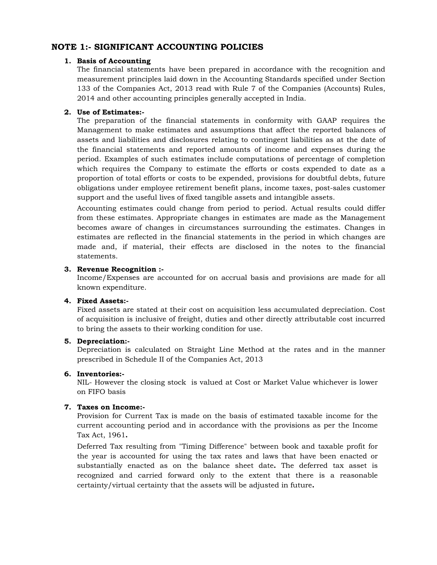### **NOTE 1:- SIGNIFICANT ACCOUNTING POLICIES**

#### **1. Basis of Accounting**

The financial statements have been prepared in accordance with the recognition and measurement principles laid down in the Accounting Standards specified under Section 133 of the Companies Act, 2013 read with Rule 7 of the Companies (Accounts) Rules, 2014 and other accounting principles generally accepted in India.

### **2. Use of Estimates:-**

The preparation of the financial statements in conformity with GAAP requires the Management to make estimates and assumptions that affect the reported balances of assets and liabilities and disclosures relating to contingent liabilities as at the date of the financial statements and reported amounts of income and expenses during the period. Examples of such estimates include computations of percentage of completion which requires the Company to estimate the efforts or costs expended to date as a proportion of total efforts or costs to be expended, provisions for doubtful debts, future obligations under employee retirement benefit plans, income taxes, post-sales customer support and the useful lives of fixed tangible assets and intangible assets.

Accounting estimates could change from period to period. Actual results could differ from these estimates. Appropriate changes in estimates are made as the Management becomes aware of changes in circumstances surrounding the estimates. Changes in estimates are reflected in the financial statements in the period in which changes are made and, if material, their effects are disclosed in the notes to the financial statements.

#### **3. Revenue Recognition :-**

Income/Expenses are accounted for on accrual basis and provisions are made for all known expenditure.

#### **4. Fixed Assets:-**

Fixed assets are stated at their cost on acquisition less accumulated depreciation. Cost of acquisition is inclusive of freight, duties and other directly attributable cost incurred to bring the assets to their working condition for use.

#### **5. Depreciation:-**

Depreciation is calculated on Straight Line Method at the rates and in the manner prescribed in Schedule II of the Companies Act, 2013

#### **6. Inventories:-**

NIL- However the closing stock is valued at Cost or Market Value whichever is lower on FIFO basis

#### **7. Taxes on Income:-**

Provision for Current Tax is made on the basis of estimated taxable income for the current accounting period and in accordance with the provisions as per the Income Tax Act, 1961**.**

Deferred Tax resulting from "Timing Difference" between book and taxable profit for the year is accounted for using the tax rates and laws that have been enacted or substantially enacted as on the balance sheet date**.** The deferred tax asset is recognized and carried forward only to the extent that there is a reasonable certainty/virtual certainty that the assets will be adjusted in future**.**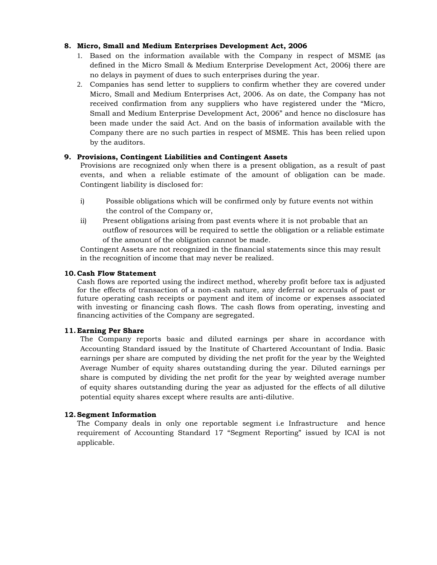### **8. Micro, Small and Medium Enterprises Development Act, 2006**

- 1. Based on the information available with the Company in respect of MSME (as defined in the Micro Small & Medium Enterprise Development Act, 2006) there are no delays in payment of dues to such enterprises during the year.
- 2. Companies has send letter to suppliers to confirm whether they are covered under Micro, Small and Medium Enterprises Act, 2006. As on date, the Company has not received confirmation from any suppliers who have registered under the "Micro, Small and Medium Enterprise Development Act, 2006" and hence no disclosure has been made under the said Act. And on the basis of information available with the Company there are no such parties in respect of MSME. This has been relied upon by the auditors.

### **9. Provisions, Contingent Liabilities and Contingent Assets**

Provisions are recognized only when there is a present obligation, as a result of past events, and when a reliable estimate of the amount of obligation can be made. Contingent liability is disclosed for:

- i) Possible obligations which will be confirmed only by future events not within the control of the Company or,
- ii) Present obligations arising from past events where it is not probable that an outflow of resources will be required to settle the obligation or a reliable estimate of the amount of the obligation cannot be made.

Contingent Assets are not recognized in the financial statements since this may result in the recognition of income that may never be realized.

#### **10.Cash Flow Statement**

Cash flows are reported using the indirect method, whereby profit before tax is adjusted for the effects of transaction of a non-cash nature, any deferral or accruals of past or future operating cash receipts or payment and item of income or expenses associated with investing or financing cash flows. The cash flows from operating, investing and financing activities of the Company are segregated.

#### **11.Earning Per Share**

The Company reports basic and diluted earnings per share in accordance with Accounting Standard issued by the Institute of Chartered Accountant of India. Basic earnings per share are computed by dividing the net profit for the year by the Weighted Average Number of equity shares outstanding during the year. Diluted earnings per share is computed by dividing the net profit for the year by weighted average number of equity shares outstanding during the year as adjusted for the effects of all dilutive potential equity shares except where results are anti-dilutive.

#### **12.Segment Information**

The Company deals in only one reportable segment i.e Infrastructure and hence requirement of Accounting Standard 17 "Segment Reporting" issued by ICAI is not applicable.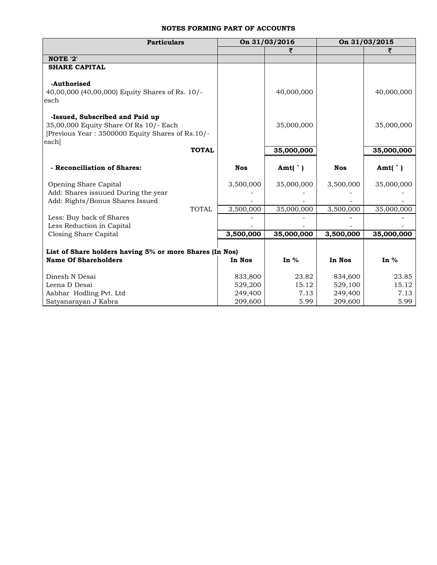### **NOTES FORMING PART OF ACCOUNTS**

| <b>Particulars</b>                                                                                                                    | On 31/03/2016 |                   | On 31/03/2015 |                   |
|---------------------------------------------------------------------------------------------------------------------------------------|---------------|-------------------|---------------|-------------------|
|                                                                                                                                       |               |                   |               |                   |
| NOTE '2'                                                                                                                              |               |                   |               |                   |
| <b>SHARE CAPITAL</b>                                                                                                                  |               |                   |               |                   |
| -Authorised<br>40,00,000 (40,00,000) Equity Shares of Rs. 10/-<br>each                                                                |               | 40,000,000        |               | 40,000,000        |
| -Issued, Subscribed and Paid up<br>35,00,000 Equity Share Of Rs 10/- Each<br>[Previous Year: 3500000 Equity Shares of Rs.10/-<br>each |               | 35,000,000        |               | 35,000,000        |
| <b>TOTAL</b>                                                                                                                          |               | 35,000,000        |               | 35,000,000        |
| - Reconciliation of Shares:                                                                                                           | <b>Nos</b>    | Amt( $\dot{\ }$ ) | <b>Nos</b>    | Amt( $\dot{\ }$ ) |
| Opening Share Capital                                                                                                                 | 3,500,000     | 35,000,000        | 3,500,000     | 35,000,000        |
| Add: Shares issuued During the year                                                                                                   |               |                   |               |                   |
| Add: Rights/Bonus Shares Issued                                                                                                       |               |                   |               |                   |
| <b>TOTAL</b>                                                                                                                          | 3,500,000     | 35,000,000        | 3,500,000     | 35,000,000        |
| Less: Buy back of Shares                                                                                                              |               |                   |               |                   |
| Less Reduction in Capital                                                                                                             |               |                   |               |                   |
| Closing Share Capital                                                                                                                 | 3,500,000     | 35,000,000        | 3,500,000     | 35,000,000        |
| List of Share holders having 5% or more Shares (In Nos)                                                                               |               |                   |               |                   |
| <b>Name Of Shareholders</b>                                                                                                           | In Nos        | In $%$            | In Nos        | In $%$            |
| Dinesh N Desai                                                                                                                        | 833,800       | 23.82             | 834,600       | 23.85             |
| Leena D Desai                                                                                                                         | 529,200       | 15.12             | 529,100       | 15.12             |
| Aabhar Hodling Pvt. Ltd                                                                                                               | 249,400       | 7.13              | 249,400       | 7.13              |
| Satyanarayan J Kabra                                                                                                                  | 209,600       | 5.99              | 209,600       | 5.99              |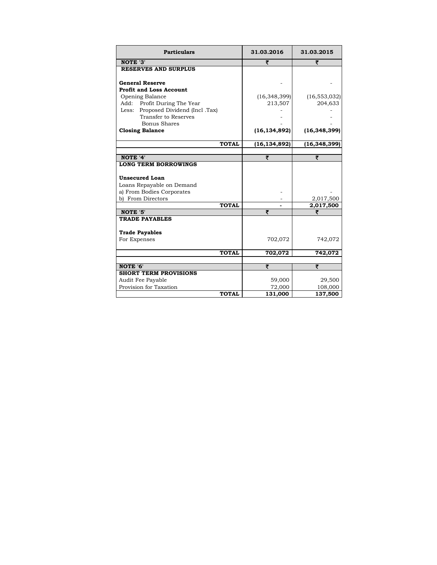| <b>Particulars</b>                                 | 31.03.2016        | 31.03.2015     |
|----------------------------------------------------|-------------------|----------------|
| NOTE '3'                                           | ₹                 | ₹              |
| <b>RESERVES AND SURPLUS</b>                        |                   |                |
| <b>General Reserve</b>                             |                   |                |
| <b>Profit and Loss Account</b>                     |                   |                |
| Opening Balance                                    | (16, 348, 399)    | (16, 553, 032) |
| Add: Profit During The Year                        | 213,507           | 204,633        |
| Less: Proposed Dividend (Incl. Tax)                |                   |                |
| Transfer to Reserves                               |                   |                |
| <b>Bonus Shares</b>                                |                   |                |
| <b>Closing Balance</b>                             | (16, 134, 892)    | (16, 348, 399) |
| <b>TOTAL</b>                                       | (16, 134, 892)    | (16, 348, 399) |
|                                                    |                   |                |
| NOTE '4'                                           | ₹                 | ₹              |
| <b>Unsecured Loan</b><br>Loans Repayable on Demand |                   |                |
| a) From Bodies Corporates                          |                   |                |
| b) From Directors                                  |                   | 2,017,500      |
| <b>TOTAL</b>                                       |                   | 2,017,500      |
| NOTE '5'                                           | ₹                 |                |
| <b>TRADE PAYABLES</b>                              |                   |                |
| <b>Trade Payables</b>                              |                   |                |
| For Expenses                                       | 702,072           | 742,072        |
| <b>TOTAL</b>                                       | 702,072           | 742,072        |
|                                                    |                   |                |
| NOTE '6'                                           | ₹                 | ₹              |
| <b>SHORT TERM PROVISIONS</b>                       |                   |                |
| Audit Fee Payable                                  | 59,000            | 29,500         |
|                                                    |                   |                |
| Provision for Taxation<br><b>TOTAL</b>             | 72,000<br>131,000 | 108,000        |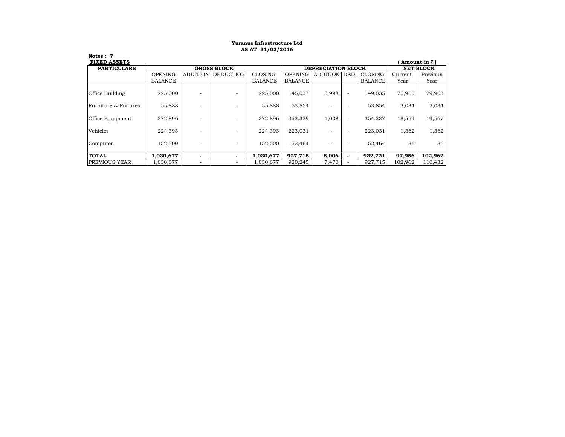#### **AS AT 31/03/2016 Yuranus Infrastructure Ltd**

**Notes : 7**

| <b>FIXED ASSETS</b>  |                |                          |                          |                |                |          |                          |         |         | Amount in $\bar{z}$ ) |
|----------------------|----------------|--------------------------|--------------------------|----------------|----------------|----------|--------------------------|---------|---------|-----------------------|
| <b>PARTICULARS</b>   |                | <b>GROSS BLOCK</b>       | DEPRECIATION BLOCK       |                |                |          | <b>NET BLOCK</b>         |         |         |                       |
|                      | <b>OPENING</b> | <b>ADDITION</b>          | <b>DEDUCTION</b>         | CLOSING        | <b>OPENING</b> | ADDITION | DED.                     | CLOSING | Current | Previous              |
|                      | <b>BALANCE</b> |                          |                          | <b>BALANCE</b> | <b>BALANCE</b> |          |                          | BALANCE | Year    | Year                  |
| Office Building      | 225,000        |                          |                          | 225,000        | 145,037        | 3,998    | $\overline{a}$           | 149,035 | 75,965  | 79,963                |
| Furniture & Fixtures | 55,888         |                          | $\overline{\phantom{0}}$ | 55,888         | 53,854         |          |                          | 53,854  | 2,034   | 2,034                 |
| Office Equipment     | 372,896        |                          | $\overline{\phantom{0}}$ | 372,896        | 353,329        | 1,008    | $\overline{\phantom{a}}$ | 354,337 | 18,559  | 19,567                |
| Vehicles             | 224,393        |                          | $\overline{\phantom{0}}$ | 224,393        | 223,031        |          | $\overline{\phantom{a}}$ | 223.031 | 1,362   | 1,362                 |
| Computer             | 152,500        |                          |                          | 152,500        | 152,464        |          |                          | 152,464 | 36      | 36                    |
| <b>TOTAL</b>         | 1,030,677      | -                        |                          | 1,030,677      | 927,715        | 5,006    | $\overline{\phantom{a}}$ | 932,721 | 97,956  | 102,962               |
| <b>PREVIOUS YEAR</b> | 1,030,677      | $\overline{\phantom{a}}$ | $\overline{\phantom{0}}$ | 1,030,677      | 920,245        | 7,470    |                          | 927,715 | 102,962 | 110,432               |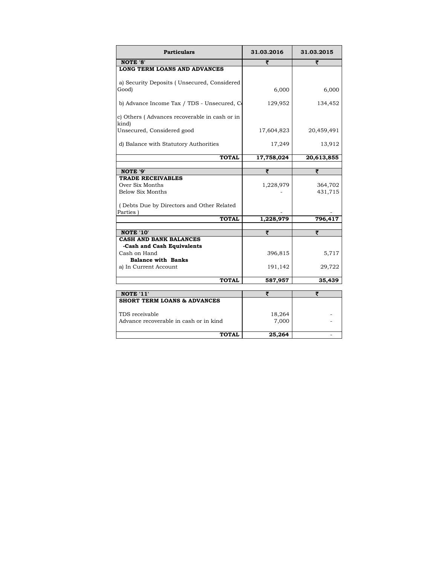| <b>Particulars</b>                                         | 31.03.2016 | 31.03.2015         |
|------------------------------------------------------------|------------|--------------------|
| NOTE '8'                                                   | ₹          | ₹                  |
| LONG TERM LOANS AND ADVANCES                               |            |                    |
|                                                            |            |                    |
| a) Security Deposits (Unsecured, Considered<br>Good)       | 6,000      | 6,000              |
|                                                            |            |                    |
| b) Advance Income Tax / TDS - Unsecured, Co                | 129,952    | 134,452            |
| c) Others (Advances recoverable in cash or in<br>kind)     |            |                    |
| Unsecured, Considered good                                 | 17,604,823 | 20,459,491         |
| d) Balance with Statutory Authorities                      | 17,249     | 13,912             |
| <b>TOTAL</b>                                               | 17,758,024 | 20,613,855         |
|                                                            |            |                    |
| NOTE '9'                                                   | ₹          | ₹                  |
| <b>TRADE RECEIVABLES</b>                                   |            |                    |
| Over Six Months<br>Below Six Months                        | 1,228,979  | 364,702<br>431,715 |
|                                                            |            |                    |
| (Debts Due by Directors and Other Related                  |            |                    |
| Parties)                                                   |            |                    |
| <b>TOTAL</b>                                               | 1,228,979  | 796,417            |
|                                                            | ₹          |                    |
| <b>NOTE '10'</b><br><b>CASH AND BANK BALANCES</b>          |            | ₹                  |
| -Cash and Cash Equivalents                                 |            |                    |
| Cash on Hand                                               | 396,815    | 5,717              |
| <b>Balance with Banks</b>                                  |            |                    |
| a) In Current Account                                      | 191,142    | 29,722             |
| <b>TOTAL</b>                                               | 587,957    | 35,439             |
|                                                            |            |                    |
| <b>NOTE '11'</b><br><b>SHORT TERM LOANS &amp; ADVANCES</b> | ₹          | ₹                  |
|                                                            |            |                    |
| TDS receivable                                             | 18,264     |                    |
| Advance recoverable in cash or in kind                     | 7,000      |                    |
|                                                            |            |                    |
| <b>TOTAL</b>                                               | 25,264     |                    |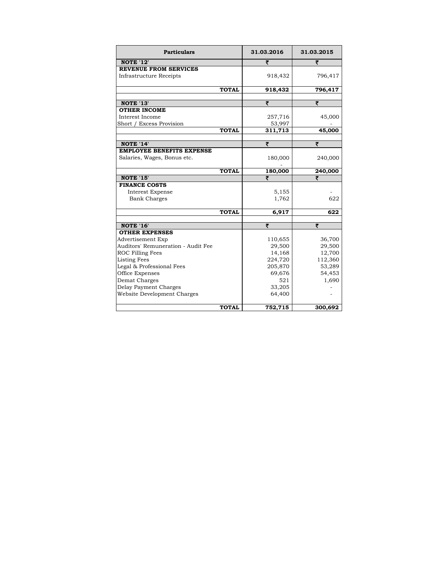| <b>Particulars</b>                               |              | 31.03.2016         | 31.03.2015        |
|--------------------------------------------------|--------------|--------------------|-------------------|
| <b>NOTE '12'</b>                                 |              | ₹                  | ₹                 |
| <b>REVENUE FROM SERVICES</b>                     |              |                    |                   |
| Infrastructure Receipts                          |              | 918,432            | 796,417           |
|                                                  |              |                    |                   |
|                                                  | <b>TOTAL</b> | 918,432            | 796,417           |
| <b>NOTE '13'</b>                                 |              | ₹                  | ₹                 |
| <b>OTHER INCOME</b>                              |              |                    |                   |
| Interest Income                                  |              | 257,716            | 45,000            |
| Short / Excess Provision                         |              | 53,997             |                   |
|                                                  | <b>TOTAL</b> | 311,713            | 45,000            |
|                                                  |              |                    |                   |
| NOTE '14'                                        |              | ₹                  | ₹                 |
| <b>EMPLOYEE BENEFITS EXPENSE</b>                 |              |                    |                   |
| Salaries, Wages, Bonus etc.                      |              | 180,000            | 240,000           |
|                                                  |              |                    |                   |
| <b>NOTE '15'</b>                                 | <b>TOTAL</b> | 180,000<br>₹       | 240,000           |
| <b>FINANCE COSTS</b>                             |              |                    |                   |
| <b>Interest Expense</b>                          |              | 5,155              |                   |
| <b>Bank Charges</b>                              |              | 1,762              | 622               |
|                                                  |              |                    |                   |
|                                                  | <b>TOTAL</b> | 6,917              | 622               |
|                                                  |              |                    |                   |
| <b>NOTE '16'</b>                                 |              | ₹                  | ₹                 |
| <b>OTHER EXPENSES</b>                            |              |                    |                   |
| <b>Advertisement Exp</b>                         |              | 110,655            | 36,700            |
| Auditors' Remuneration - Audit Fee               |              | 29,500             | 29,500            |
| ROC Filling Fees                                 |              | 14,168             | 12,700            |
| <b>Listing Fees</b><br>Legal & Professional Fees |              | 224,720<br>205,870 | 112,360<br>53,289 |
| Office Expenses                                  |              | 69,676             | 54,453            |
| Demat Charges                                    |              | 521                | 1,690             |
| Delay Payment Charges                            |              | 33,205             |                   |
| Website Development Charges                      |              | 64,400             |                   |
|                                                  |              |                    |                   |
|                                                  | <b>TOTAL</b> | 752,715            | 300,692           |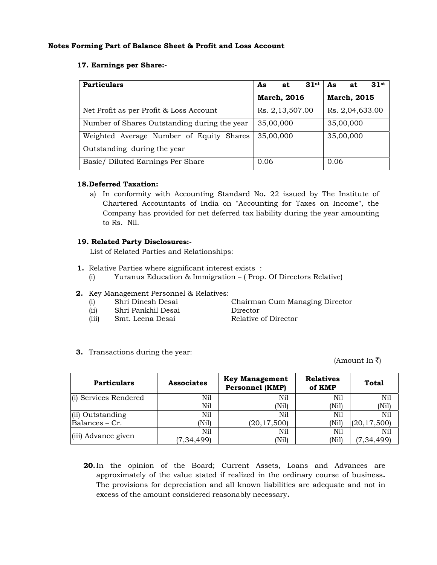#### **Notes Forming Part of Balance Sheet & Profit and Loss Account**

### **17. Earnings per Share:-**

| <b>Particulars</b>                           | 31st<br>As<br>at   | 31st<br>As<br>at   |
|----------------------------------------------|--------------------|--------------------|
|                                              | <b>March, 2016</b> | <b>March, 2015</b> |
| Net Profit as per Profit & Loss Account      | Rs. 2,13,507.00    | Rs. 2,04,633.00    |
| Number of Shares Outstanding during the year | 35,00,000          | 35,00,000          |
| Weighted Average Number of Equity Shares     | 35,00,000          | 35,00,000          |
| Outstanding during the year                  |                    |                    |
| Basic/Diluted Earnings Per Share             | 0.06               | 0.06               |

#### **18.Deferred Taxation:**

a) In conformity with Accounting Standard No**.** 22 issued by The Institute of Chartered Accountants of India on "Accounting for Taxes on Income", the Company has provided for net deferred tax liability during the year amounting to Rs. Nil.

#### **19. Related Party Disclosures:-**

List of Related Parties and Relationships:

- **1.** Relative Parties where significant interest exists :
	- (i) Yuranus Education & Immigration ( Prop. Of Directors Relative)
- **2.** Key Management Personnel & Relatives:
	-
	- (ii) Shri Pankhil Desai Director
	- (iii) Smt. Leena Desai Relative of Director

(i) Shri Dinesh Desai Chairman Cum Managing Director

**3.** Transactions during the year:

(Amount In ₹)

| <b>Particulars</b>    | <b>Associates</b> | <b>Key Management</b><br><b>Personnel (KMP)</b> | <b>Relatives</b><br>of KMP | <b>Total</b>  |
|-----------------------|-------------------|-------------------------------------------------|----------------------------|---------------|
| (i) Services Rendered | Ni1               | Nil                                             | Nil                        | Nil           |
|                       | Nil               | (Nil)                                           | (Nil)                      | (Nil)         |
| (ii) Outstanding      | Nil               | Nil                                             | Nil                        | Nil           |
| Balances - Cr.        | (Nil)             | (20, 17, 500)                                   | (Nil)                      | (20, 17, 500) |
| (iii) Advance given   | Nil               | Nil                                             | Nil                        | Nil           |
|                       | (7, 34, 499)      | (Nil)                                           | (Nil)                      | (7, 34, 499)  |

**20.**In the opinion of the Board; Current Assets, Loans and Advances are approximately of the value stated if realized in the ordinary course of business**.** The provisions for depreciation and all known liabilities are adequate and not in excess of the amount considered reasonably necessary**.**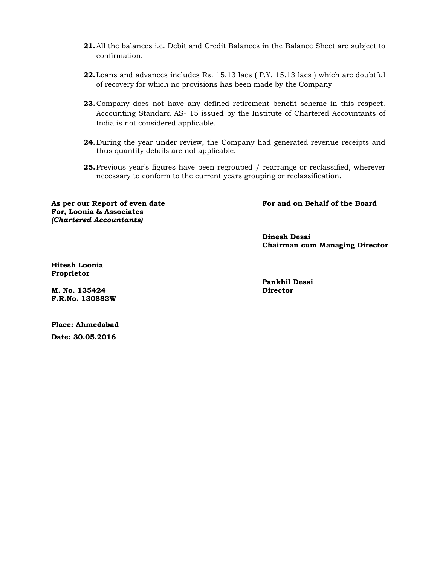- **21.**All the balances i.e. Debit and Credit Balances in the Balance Sheet are subject to confirmation.
- **22.**Loans and advances includes Rs. 15.13 lacs ( P.Y. 15.13 lacs ) which are doubtful of recovery for which no provisions has been made by the Company
- **23.**Company does not have any defined retirement benefit scheme in this respect. Accounting Standard AS- 15 issued by the Institute of Chartered Accountants of India is not considered applicable.
- **24.** During the year under review, the Company had generated revenue receipts and thus quantity details are not applicable.
- **25.**Previous year's figures have been regrouped / rearrange or reclassified, wherever necessary to conform to the current years grouping or reclassification.

**For and on Behalf of the Board**

**For, Loonia & Associates**  *(Chartered Accountants)* 

**As per our Report of even date** 

**Dinesh Desai Chairman cum Managing Director** 

**Hitesh Loonia Proprietor** 

**M. No. 135424 F.R.No. 130883W**  **Pankhil Desai Director** 

**Place: Ahmedabad Date: 30.05.2016**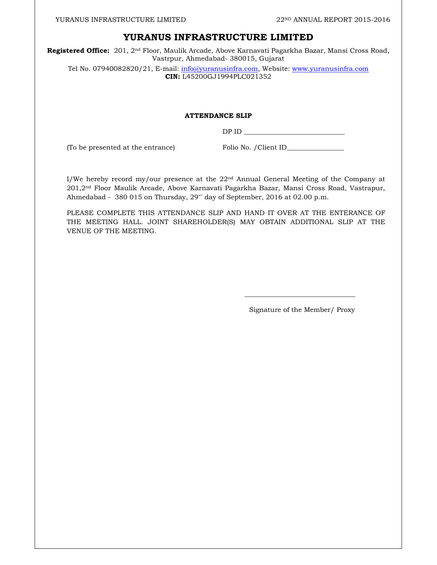### **YURANUS INFRASTRUCTURE LIMITED**

**Registered Office:** 201, 2nd Floor, Maulik Arcade, Above Karnavati Pagarkha Bazar, Mansi Cross Road, Vastrpur, Ahmedabad- 380015, Gujarat

Tel No. 07940082820/21, E-mail: info@yuranusinfra.com, Website: www.yuranusinfra.com **CIN:** L45200GJ1994PLC021352

#### **ATTENDANCE SLIP**

 $DPID$ 

(To be presented at the entrance) Folio No. / Client ID\_\_\_\_\_\_\_\_\_\_\_\_\_\_\_\_\_\_\_\_\_\_\_\_\_\_

I/We hereby record my/our presence at the  $22<sup>nd</sup>$  Annual General Meeting of the Company at 201,2nd Floor Maulik Arcade, Above Karnavati Pagarkha Bazar, Mansi Cross Road, Vastrapur, Ahmedabad - 380 015 on Thursday, 29"' day of September, 2016 at 02.00 p.m.

PLEASE COMPLETE THIS ATTENDANCE SLIP AND HAND IT OVER AT THE ENTERANCE OF THE MEETING HALL. JOINT SHAREHOLDER(S) MAY OBTAIN ADDITIONAL SLIP AT THE VENUE OF THE MEETING.

 $\overline{\phantom{a}}$  , and the contract of the contract of the contract of the contract of the contract of the contract of the contract of the contract of the contract of the contract of the contract of the contract of the contrac

Signature of the Member/ Proxy